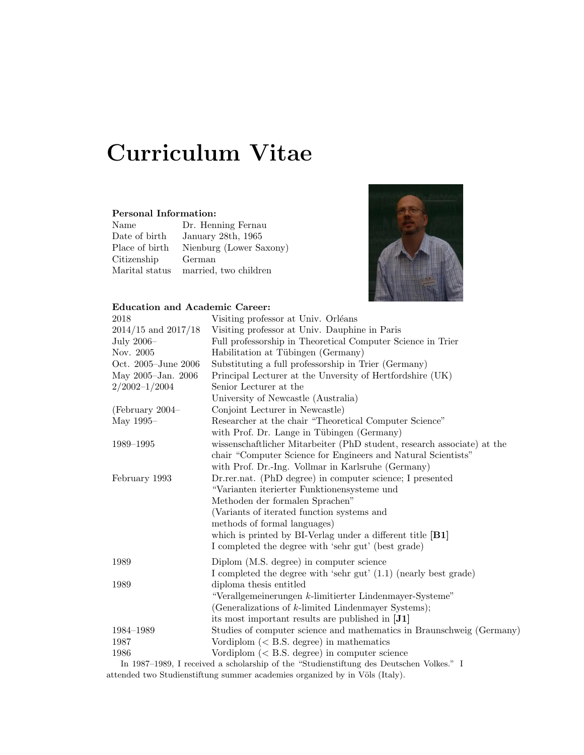# Curriculum Vitae

### Personal Information:

| Name           | Dr. Henning Fernau      |
|----------------|-------------------------|
| Date of birth  | January 28th, 1965      |
| Place of birth | Nienburg (Lower Saxony) |
| Citizenship    | German                  |
| Marital status | married, two children   |



#### Education and Academic Career:

| 2018                    | Visiting professor at Univ. Orléans                                                     |
|-------------------------|-----------------------------------------------------------------------------------------|
| $2014/15$ and $2017/18$ | Visiting professor at Univ. Dauphine in Paris                                           |
| July $2006-$            | Full professorship in Theoretical Computer Science in Trier                             |
| Nov. 2005               | Habilitation at Tübingen (Germany)                                                      |
| Oct. 2005–June 2006     | Substituting a full professorship in Trier (Germany)                                    |
| May 2005-Jan. 2006      | Principal Lecturer at the Unversity of Hertfordshire (UK)                               |
| $2/2002 - 1/2004$       | Senior Lecturer at the                                                                  |
|                         | University of Newcastle (Australia)                                                     |
| (February 2004–         | Conjoint Lecturer in Newcastle)                                                         |
| May 1995–               | Researcher at the chair "Theoretical Computer Science"                                  |
|                         | with Prof. Dr. Lange in Tübingen (Germany)                                              |
| 1989-1995               | wissenschaftlicher Mitarbeiter (PhD student, research associate) at the                 |
|                         | chair "Computer Science for Engineers and Natural Scientists"                           |
|                         | with Prof. Dr.-Ing. Vollmar in Karlsruhe (Germany)                                      |
| February 1993           | Dr.rer.nat. (PhD degree) in computer science; I presented                               |
|                         | "Varianten iterierter Funktionensysteme und                                             |
|                         | Methoden der formalen Sprachen"                                                         |
|                         | (Variants of iterated function systems and                                              |
|                         | methods of formal languages)                                                            |
|                         | which is printed by BI-Verlag under a different title $[B1]$                            |
|                         | I completed the degree with 'sehr gut' (best grade)                                     |
| 1989                    | Diplom (M.S. degree) in computer science                                                |
|                         | I completed the degree with 'sehr gut' (1.1) (nearly best grade)                        |
| 1989                    | diploma thesis entitled                                                                 |
|                         | "Verallgemeinerungen k-limitierter Lindenmayer-Systeme"                                 |
|                         | (Generalizations of $k$ -limited Lindenmayer Systems);                                  |
|                         | its most important results are published in [J1]                                        |
| 1984-1989               | Studies of computer science and mathematics in Braunschweig (Germany)                   |
| 1987                    | Vordiplom ( $\langle$ B.S. degree) in mathematics                                       |
| 1986                    | Vordiplom $(< B.S.$ degree) in computer science                                         |
|                         | In 1987–1989, I received a scholarship of the "Studienstiftung des Deutschen Volkes." I |

attended two Studienstiftung summer academies organized by in Völs (Italy).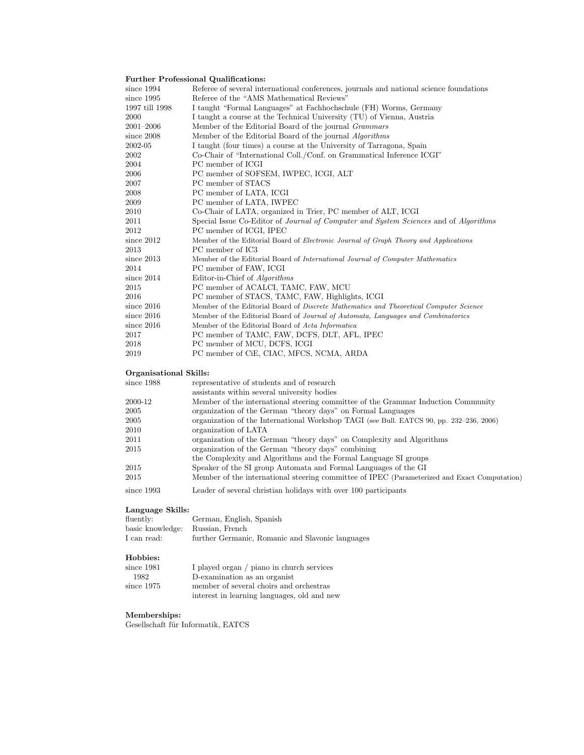### Further Professional Qualifications:

|      |                                                                                                                                                                                                         | Referee of several international conferences, journals and national science foundations      |
|------|---------------------------------------------------------------------------------------------------------------------------------------------------------------------------------------------------------|----------------------------------------------------------------------------------------------|
|      |                                                                                                                                                                                                         | Referee of the "AMS Mathematical Reviews"                                                    |
|      |                                                                                                                                                                                                         | I taught "Formal Languages" at Fachhochschule (FH) Worms, Germany                            |
|      |                                                                                                                                                                                                         | I taught a course at the Technical University (TU) of Vienna, Austria                        |
|      |                                                                                                                                                                                                         | Member of the Editorial Board of the journal Grammars                                        |
|      |                                                                                                                                                                                                         | Member of the Editorial Board of the journal Algorithms                                      |
|      |                                                                                                                                                                                                         | I taught (four times) a course at the University of Tarragona, Spain                         |
|      |                                                                                                                                                                                                         | Co-Chair of "International Coll./Conf. on Grammatical Inference ICGI"                        |
|      |                                                                                                                                                                                                         | PC member of ICGI                                                                            |
|      |                                                                                                                                                                                                         | PC member of SOFSEM, IWPEC, ICGI, ALT                                                        |
|      |                                                                                                                                                                                                         | PC member of STACS                                                                           |
|      |                                                                                                                                                                                                         | PC member of LATA, ICGI                                                                      |
|      |                                                                                                                                                                                                         | PC member of LATA, IWPEC                                                                     |
|      |                                                                                                                                                                                                         | Co-Chair of LATA, organized in Trier, PC member of ALT, ICGI                                 |
|      |                                                                                                                                                                                                         | Special Issue Co-Editor of Journal of Computer and System Sciences and of Algorithms         |
|      |                                                                                                                                                                                                         | PC member of ICGI, IPEC                                                                      |
|      |                                                                                                                                                                                                         | Member of the Editorial Board of Electronic Journal of Graph Theory and Applications         |
|      |                                                                                                                                                                                                         | PC member of IC3                                                                             |
|      |                                                                                                                                                                                                         | Member of the Editorial Board of International Journal of Computer Mathematics               |
|      |                                                                                                                                                                                                         | PC member of FAW, ICGI                                                                       |
|      |                                                                                                                                                                                                         | Editor-in-Chief of Algorithms                                                                |
|      |                                                                                                                                                                                                         | PC member of ACALCI, TAMC, FAW, MCU                                                          |
|      |                                                                                                                                                                                                         | PC member of STACS, TAMC, FAW, Highlights, ICGI                                              |
|      |                                                                                                                                                                                                         | Member of the Editorial Board of Discrete Mathematics and Theoretical Computer Science       |
|      |                                                                                                                                                                                                         | Member of the Editorial Board of Journal of Automata, Languages and Combinatorics            |
|      |                                                                                                                                                                                                         | Member of the Editorial Board of Acta Informatica                                            |
|      |                                                                                                                                                                                                         | PC member of TAMC, FAW, DCFS, DLT, AFL, IPEC                                                 |
|      |                                                                                                                                                                                                         | PC member of MCU, DCFS, ICGI                                                                 |
|      |                                                                                                                                                                                                         | PC member of CiE, CIAC, MFCS, NCMA, ARDA                                                     |
|      |                                                                                                                                                                                                         |                                                                                              |
|      |                                                                                                                                                                                                         | representative of students and of research                                                   |
|      |                                                                                                                                                                                                         | assistants within several university bodies                                                  |
|      |                                                                                                                                                                                                         | Member of the international steering committee of the Grammar Induction Community            |
|      |                                                                                                                                                                                                         | organization of the German "theory days" on Formal Languages                                 |
|      |                                                                                                                                                                                                         | organization of the International Workshop TAGI (see Bull. EATCS 90, pp. 232–236, 2006)      |
|      |                                                                                                                                                                                                         | organization of LATA                                                                         |
|      |                                                                                                                                                                                                         | organization of the German "theory days" on Complexity and Algorithms                        |
|      |                                                                                                                                                                                                         | organization of the German "theory days" combining                                           |
|      |                                                                                                                                                                                                         | the Complexity and Algorithms and the Formal Language SI groups                              |
|      |                                                                                                                                                                                                         | Speaker of the SI group Automata and Formal Languages of the GI                              |
|      |                                                                                                                                                                                                         | Member of the international steering committee of IPEC (Parameterized and Exact Computation) |
|      |                                                                                                                                                                                                         | Leader of several christian holidays with over 100 participants                              |
|      |                                                                                                                                                                                                         |                                                                                              |
| 2000 | since 1994<br>since 1995<br>$2001 - 2006$<br>since $2008$<br>2002-05<br>since $2012$<br>since $2013$<br>since $2014$<br>since $2016$<br>since 2016<br>since 2016<br>since 1988<br>2000-12<br>since 1993 | 1997 till 1998<br>Organisational Skills:                                                     |

#### Language Skills:

| fluently:                        | German, English, Spanish                         |
|----------------------------------|--------------------------------------------------|
| basic knowledge: Russian, French |                                                  |
| I can read:                      | further Germanic, Romanic and Slavonic languages |

### Hobbies:

| since 1981   | I played organ / piano in church services   |
|--------------|---------------------------------------------|
| 1982         | D-examination as an organist                |
| since $1975$ | member of several choirs and orchestras     |
|              | interest in learning languages, old and new |
|              |                                             |

### Memberships:

Gesellschaft für Informatik, EATCS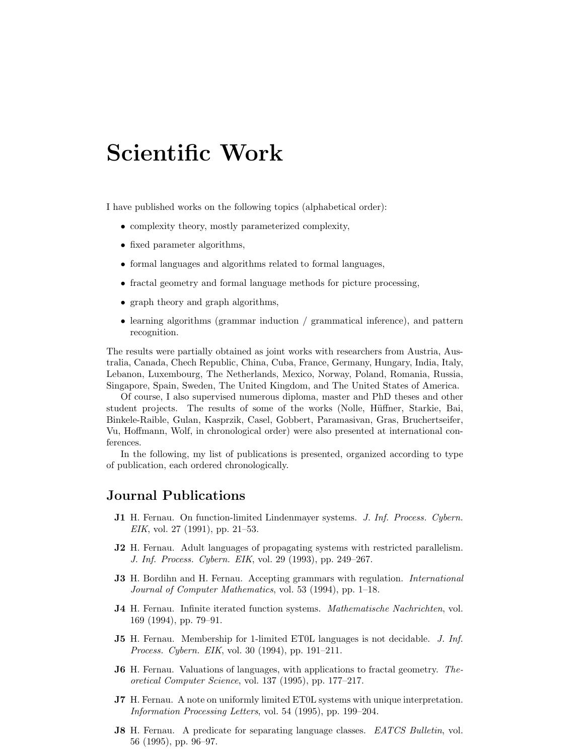## Scientific Work

I have published works on the following topics (alphabetical order):

- complexity theory, mostly parameterized complexity,
- fixed parameter algorithms,
- formal languages and algorithms related to formal languages,
- fractal geometry and formal language methods for picture processing,
- graph theory and graph algorithms,
- learning algorithms (grammar induction / grammatical inference), and pattern recognition.

The results were partially obtained as joint works with researchers from Austria, Australia, Canada, Chech Republic, China, Cuba, France, Germany, Hungary, India, Italy, Lebanon, Luxembourg, The Netherlands, Mexico, Norway, Poland, Romania, Russia, Singapore, Spain, Sweden, The United Kingdom, and The United States of America.

Of course, I also supervised numerous diploma, master and PhD theses and other student projects. The results of some of the works (Nolle, Hüffner, Starkie, Bai, Binkele-Raible, Gulan, Kasprzik, Casel, Gobbert, Paramasivan, Gras, Bruchertseifer, Vu, Hoffmann, Wolf, in chronological order) were also presented at international conferences.

In the following, my list of publications is presented, organized according to type of publication, each ordered chronologically.

### Journal Publications

- J1 H. Fernau. On function-limited Lindenmayer systems. J. Inf. Process. Cybern. EIK, vol. 27 (1991), pp. 21–53.
- J2 H. Fernau. Adult languages of propagating systems with restricted parallelism. J. Inf. Process. Cybern. EIK, vol. 29 (1993), pp. 249–267.
- **J3** H. Bordihn and H. Fernau. Accepting grammars with regulation. *International* Journal of Computer Mathematics, vol. 53 (1994), pp. 1–18.
- J4 H. Fernau. Infinite iterated function systems. Mathematische Nachrichten, vol. 169 (1994), pp. 79–91.
- J5 H. Fernau. Membership for 1-limited ET0L languages is not decidable. J. Inf. Process. Cybern. EIK, vol. 30 (1994), pp. 191–211.
- J6 H. Fernau. Valuations of languages, with applications to fractal geometry. Theoretical Computer Science, vol. 137 (1995), pp. 177–217.
- J7 H. Fernau. A note on uniformly limited ET0L systems with unique interpretation. Information Processing Letters, vol. 54 (1995), pp. 199–204.
- J8 H. Fernau. A predicate for separating language classes. EATCS Bulletin, vol. 56 (1995), pp. 96–97.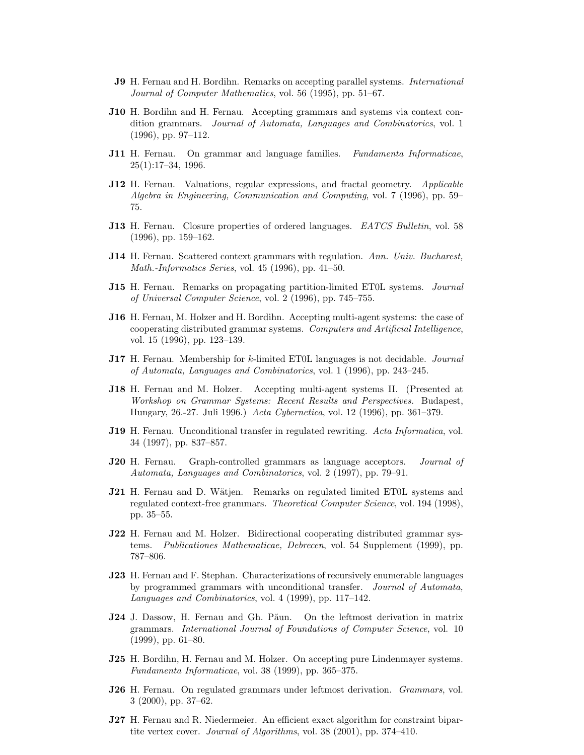- **J9** H. Fernau and H. Bordihn. Remarks on accepting parallel systems. *International* Journal of Computer Mathematics, vol. 56 (1995), pp. 51–67.
- J10 H. Bordihn and H. Fernau. Accepting grammars and systems via context condition grammars. Journal of Automata, Languages and Combinatorics, vol. 1 (1996), pp. 97–112.
- **J11** H. Fernau. On grammar and language families. Fundamenta Informaticae, 25(1):17–34, 1996.
- J12 H. Fernau. Valuations, regular expressions, and fractal geometry. Applicable Algebra in Engineering, Communication and Computing, vol. 7 (1996), pp. 59– 75.
- J13 H. Fernau. Closure properties of ordered languages. EATCS Bulletin, vol. 58 (1996), pp. 159–162.
- J14 H. Fernau. Scattered context grammars with regulation. Ann. Univ. Bucharest, Math.-Informatics Series, vol. 45 (1996), pp. 41–50.
- J15 H. Fernau. Remarks on propagating partition-limited ET0L systems. Journal of Universal Computer Science, vol. 2 (1996), pp. 745–755.
- J16 H. Fernau, M. Holzer and H. Bordihn. Accepting multi-agent systems: the case of cooperating distributed grammar systems. Computers and Artificial Intelligence, vol. 15 (1996), pp. 123–139.
- **J17** H. Fernau. Membership for k-limited ET0L languages is not decidable. *Journal* of Automata, Languages and Combinatorics, vol. 1 (1996), pp. 243–245.
- J18 H. Fernau and M. Holzer. Accepting multi-agent systems II. (Presented at Workshop on Grammar Systems: Recent Results and Perspectives. Budapest, Hungary, 26.-27. Juli 1996.) Acta Cybernetica, vol. 12 (1996), pp. 361–379.
- **J19** H. Fernau. Unconditional transfer in regulated rewriting. Acta Informatica, vol. 34 (1997), pp. 837–857.
- J20 H. Fernau. Graph-controlled grammars as language acceptors. *Journal of* Automata, Languages and Combinatorics, vol. 2 (1997), pp. 79–91.
- J21 H. Fernau and D. Wätjen. Remarks on regulated limited ET0L systems and regulated context-free grammars. Theoretical Computer Science, vol. 194 (1998), pp. 35–55.
- J22 H. Fernau and M. Holzer. Bidirectional cooperating distributed grammar systems. Publicationes Mathematicae, Debrecen, vol. 54 Supplement (1999), pp. 787–806.
- J23 H. Fernau and F. Stephan. Characterizations of recursively enumerable languages by programmed grammars with unconditional transfer. Journal of Automata, Languages and Combinatorics, vol. 4 (1999), pp. 117–142.
- J24 J. Dassow, H. Fernau and Gh. Păun. On the leftmost derivation in matrix grammars. International Journal of Foundations of Computer Science, vol. 10 (1999), pp. 61–80.
- J25 H. Bordihn, H. Fernau and M. Holzer. On accepting pure Lindenmayer systems. Fundamenta Informaticae, vol. 38 (1999), pp. 365–375.
- J26 H. Fernau. On regulated grammars under leftmost derivation. Grammars, vol. 3 (2000), pp. 37–62.
- J27 H. Fernau and R. Niedermeier. An efficient exact algorithm for constraint bipartite vertex cover. Journal of Algorithms, vol. 38 (2001), pp. 374–410.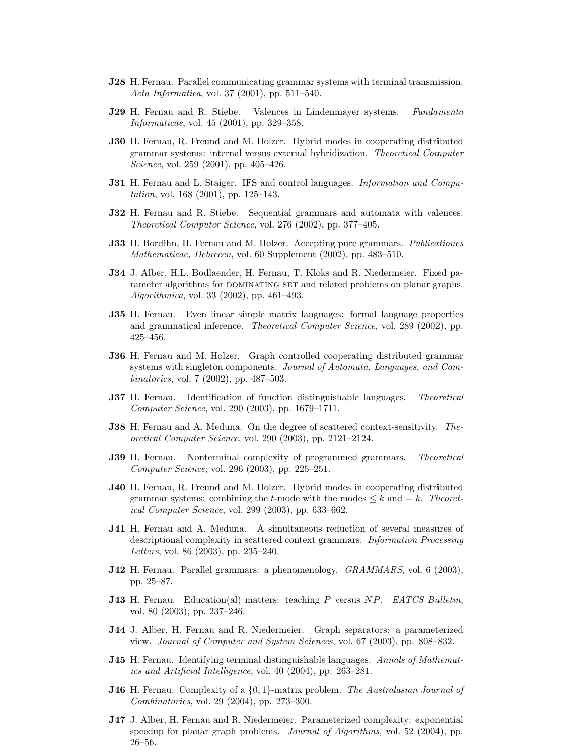- J28 H. Fernau. Parallel communicating grammar systems with terminal transmission. Acta Informatica, vol. 37 (2001), pp. 511–540.
- **J29** H. Fernau and R. Stiebe. Valences in Lindenmayer systems. Fundamenta Informaticae, vol. 45 (2001), pp. 329–358.
- J30 H. Fernau, R. Freund and M. Holzer. Hybrid modes in cooperating distributed grammar systems: internal versus external hybridization. Theoretical Computer Science, vol. 259 (2001), pp. 405–426.
- J31 H. Fernau and L. Staiger. IFS and control languages. Information and Computation, vol. 168 (2001), pp. 125–143.
- J32 H. Fernau and R. Stiebe. Sequential grammars and automata with valences. Theoretical Computer Science, vol. 276 (2002), pp. 377–405.
- **J33** H. Bordihn, H. Fernau and M. Holzer. Accepting pure grammars. *Publicationes* Mathematicae, Debrecen, vol. 60 Supplement (2002), pp. 483–510.
- J34 J. Alber, H.L. Bodlaender, H. Fernau, T. Kloks and R. Niedermeier. Fixed parameter algorithms for DOMINATING SET and related problems on planar graphs. Algorithmica, vol. 33 (2002), pp. 461–493.
- J35 H. Fernau. Even linear simple matrix languages: formal language properties and grammatical inference. Theoretical Computer Science, vol. 289 (2002), pp. 425–456.
- J36 H. Fernau and M. Holzer. Graph controlled cooperating distributed grammar systems with singleton components. Journal of Automata, Languages, and Combinatorics, vol. 7 (2002), pp. 487–503.
- **J37** H. Fernau. Identification of function distinguishable languages. Theoretical Computer Science, vol. 290 (2003), pp. 1679–1711.
- **J38** H. Fernau and A. Meduna. On the degree of scattered context-sensitivity. Theoretical Computer Science, vol. 290 (2003), pp. 2121–2124.
- **J39** H. Fernau. Nonterminal complexity of programmed grammars. Theoretical Computer Science, vol. 296 (2003), pp. 225–251.
- J40 H. Fernau, R. Freund and M. Holzer. Hybrid modes in cooperating distributed grammar systems: combining the t-mode with the modes  $\leq k$  and  $=k$ . Theoretical Computer Science, vol. 299 (2003), pp. 633–662.
- J41 H. Fernau and A. Meduna. A simultaneous reduction of several measures of descriptional complexity in scattered context grammars. Information Processing Letters, vol. 86 (2003), pp. 235–240.
- J42 H. Fernau. Parallel grammars: a phenomenology. GRAMMARS, vol. 6 (2003), pp. 25–87.
- J43 H. Fernau. Education(al) matters: teaching P versus NP. EATCS Bulletin, vol. 80 (2003), pp. 237–246.
- J44 J. Alber, H. Fernau and R. Niedermeier. Graph separators: a parameterized view. Journal of Computer and System Sciences, vol. 67 (2003), pp. 808–832.
- **J45** H. Fernau. Identifying terminal distinguishable languages. Annals of Mathematics and Artificial Intelligence, vol. 40 (2004), pp. 263–281.
- **J46** H. Fernau. Complexity of a  $\{0, 1\}$ -matrix problem. The Australasian Journal of Combinatorics, vol. 29 (2004), pp. 273–300.
- J47 J. Alber, H. Fernau and R. Niedermeier. Parameterized complexity: exponential speedup for planar graph problems. *Journal of Algorithms*, vol. 52 (2004), pp. 26–56.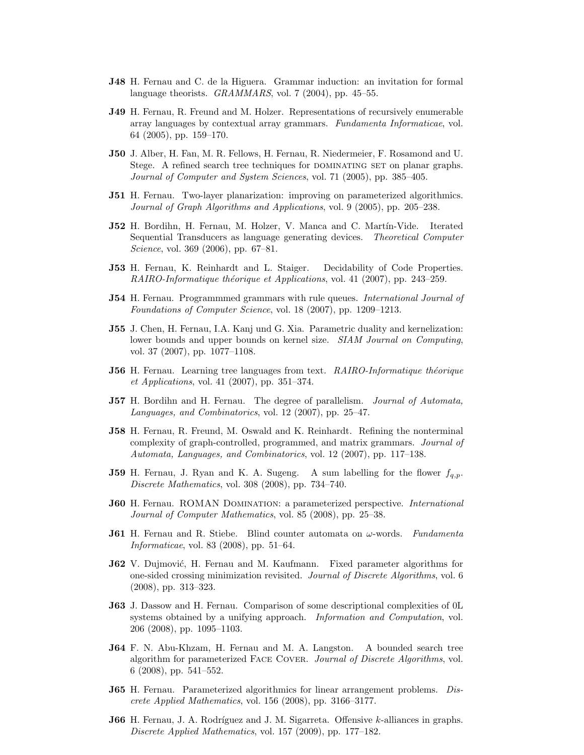- J48 H. Fernau and C. de la Higuera. Grammar induction: an invitation for formal language theorists. *GRAMMARS*, vol. 7 (2004), pp. 45–55.
- J49 H. Fernau, R. Freund and M. Holzer. Representations of recursively enumerable array languages by contextual array grammars. Fundamenta Informaticae, vol. 64 (2005), pp. 159–170.
- J50 J. Alber, H. Fan, M. R. Fellows, H. Fernau, R. Niedermeier, F. Rosamond and U. Stege. A refined search tree techniques for DOMINATING SET on planar graphs. Journal of Computer and System Sciences, vol. 71 (2005), pp. 385–405.
- J51 H. Fernau. Two-layer planarization: improving on parameterized algorithmics. Journal of Graph Algorithms and Applications, vol. 9 (2005), pp. 205–238.
- J52 H. Bordihn, H. Fernau, M. Holzer, V. Manca and C. Martín-Vide. Iterated Sequential Transducers as language generating devices. Theoretical Computer Science, vol. 369 (2006), pp. 67–81.
- J53 H. Fernau, K. Reinhardt and L. Staiger. Decidability of Code Properties. RAIRO-Informatique théorique et Applications, vol. 41 (2007), pp. 243-259.
- **J54** H. Fernau. Programmmed grammars with rule queues. *International Journal of* Foundations of Computer Science, vol. 18 (2007), pp. 1209–1213.
- J55 J. Chen, H. Fernau, I.A. Kanj und G. Xia. Parametric duality and kernelization: lower bounds and upper bounds on kernel size. SIAM Journal on Computing, vol. 37 (2007), pp. 1077–1108.
- **J56** H. Fernau. Learning tree languages from text. RAIRO-Informatique théorique et Applications, vol. 41 (2007), pp. 351–374.
- **J57** H. Bordihn and H. Fernau. The degree of parallelism. *Journal of Automata*, Languages, and Combinatorics, vol. 12 (2007), pp. 25–47.
- J58 H. Fernau, R. Freund, M. Oswald and K. Reinhardt. Refining the nonterminal complexity of graph-controlled, programmed, and matrix grammars. Journal of Automata, Languages, and Combinatorics, vol. 12 (2007), pp. 117–138.
- **J59** H. Fernau, J. Ryan and K. A. Sugeng. A sum labelling for the flower  $f_{a,p}$ . Discrete Mathematics, vol. 308 (2008), pp. 734–740.
- **J60** H. Fernau. ROMAN DOMINATION: a parameterized perspective. *International* Journal of Computer Mathematics, vol. 85 (2008), pp. 25–38.
- **J61** H. Fernau and R. Stiebe. Blind counter automata on  $\omega$ -words. Fundamenta Informaticae, vol. 83 (2008), pp. 51–64.
- **J62** V. Dujmović, H. Fernau and M. Kaufmann. Fixed parameter algorithms for one-sided crossing minimization revisited. Journal of Discrete Algorithms, vol. 6 (2008), pp. 313–323.
- J63 J. Dassow and H. Fernau. Comparison of some descriptional complexities of 0L systems obtained by a unifying approach. Information and Computation, vol. 206 (2008), pp. 1095–1103.
- J64 F. N. Abu-Khzam, H. Fernau and M. A. Langston. A bounded search tree algorithm for parameterized Face Cover. Journal of Discrete Algorithms, vol. 6 (2008), pp. 541–552.
- **J65** H. Fernau. Parameterized algorithmics for linear arrangement problems. Discrete Applied Mathematics, vol. 156 (2008), pp. 3166–3177.
- **J66** H. Fernau, J. A. Rodríguez and J. M. Sigarreta. Offensive  $k$ -alliances in graphs. Discrete Applied Mathematics, vol. 157 (2009), pp. 177–182.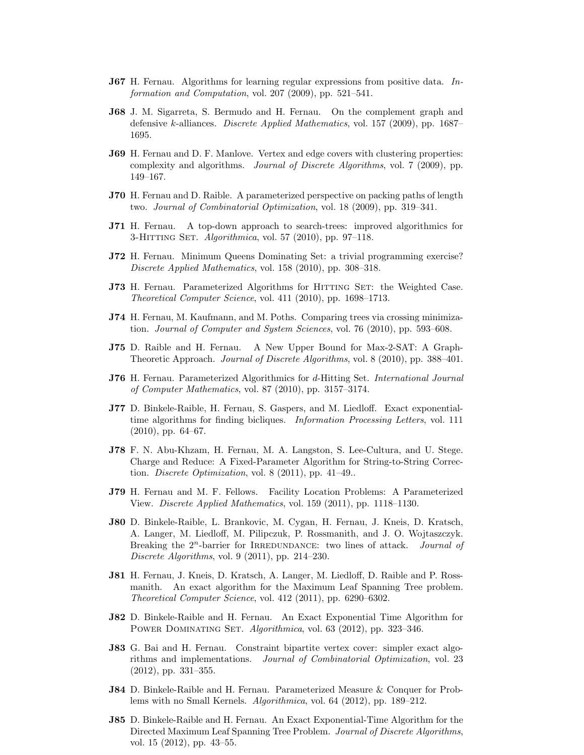- **J67** H. Fernau. Algorithms for learning regular expressions from positive data. Information and Computation, vol. 207 (2009), pp. 521–541.
- J68 J. M. Sigarreta, S. Bermudo and H. Fernau. On the complement graph and defensive k-alliances. Discrete Applied Mathematics, vol. 157 (2009), pp. 1687– 1695.
- J69 H. Fernau and D. F. Manlove. Vertex and edge covers with clustering properties: complexity and algorithms. Journal of Discrete Algorithms, vol. 7 (2009), pp. 149–167.
- J70 H. Fernau and D. Raible. A parameterized perspective on packing paths of length two. Journal of Combinatorial Optimization, vol. 18 (2009), pp. 319–341.
- J71 H. Fernau. A top-down approach to search-trees: improved algorithmics for 3-HITTING SET. Algorithmica, vol. 57 (2010), pp. 97-118.
- J72 H. Fernau. Minimum Queens Dominating Set: a trivial programming exercise? Discrete Applied Mathematics, vol. 158 (2010), pp. 308–318.
- J73 H. Fernau. Parameterized Algorithms for HITTING SET: the Weighted Case. Theoretical Computer Science, vol. 411 (2010), pp. 1698–1713.
- J74 H. Fernau, M. Kaufmann, and M. Poths. Comparing trees via crossing minimization. Journal of Computer and System Sciences, vol. 76 (2010), pp. 593–608.
- J75 D. Raible and H. Fernau. A New Upper Bound for Max-2-SAT: A Graph-Theoretic Approach. Journal of Discrete Algorithms, vol. 8 (2010), pp. 388–401.
- J76 H. Fernau. Parameterized Algorithmics for d-Hitting Set. International Journal of Computer Mathematics, vol. 87 (2010), pp. 3157–3174.
- J77 D. Binkele-Raible, H. Fernau, S. Gaspers, and M. Liedloff. Exact exponentialtime algorithms for finding bicliques. Information Processing Letters, vol. 111 (2010), pp. 64–67.
- J78 F. N. Abu-Khzam, H. Fernau, M. A. Langston, S. Lee-Cultura, and U. Stege. Charge and Reduce: A Fixed-Parameter Algorithm for String-to-String Correction. Discrete Optimization, vol.  $8(2011)$ , pp. 41–49..
- J79 H. Fernau and M. F. Fellows. Facility Location Problems: A Parameterized View. Discrete Applied Mathematics, vol. 159 (2011), pp. 1118–1130.
- J80 D. Binkele-Raible, L. Brankovic, M. Cygan, H. Fernau, J. Kneis, D. Kratsch, A. Langer, M. Liedloff, M. Pilipczuk, P. Rossmanith, and J. O. Wojtaszczyk. Breaking the  $2^n$ -barrier for IRREDUNDANCE: two lines of attack. *Journal of* Discrete Algorithms, vol. 9 (2011), pp. 214–230.
- J81 H. Fernau, J. Kneis, D. Kratsch, A. Langer, M. Liedloff, D. Raible and P. Rossmanith. An exact algorithm for the Maximum Leaf Spanning Tree problem. Theoretical Computer Science, vol. 412 (2011), pp. 6290–6302.
- J82 D. Binkele-Raible and H. Fernau. An Exact Exponential Time Algorithm for POWER DOMINATING SET. Algorithmica, vol. 63 (2012), pp. 323-346.
- J83 G. Bai and H. Fernau. Constraint bipartite vertex cover: simpler exact algorithms and implementations. Journal of Combinatorial Optimization, vol. 23 (2012), pp. 331–355.
- J84 D. Binkele-Raible and H. Fernau. Parameterized Measure & Conquer for Problems with no Small Kernels. Algorithmica, vol. 64 (2012), pp. 189–212.
- J85 D. Binkele-Raible and H. Fernau. An Exact Exponential-Time Algorithm for the Directed Maximum Leaf Spanning Tree Problem. Journal of Discrete Algorithms, vol. 15 (2012), pp. 43–55.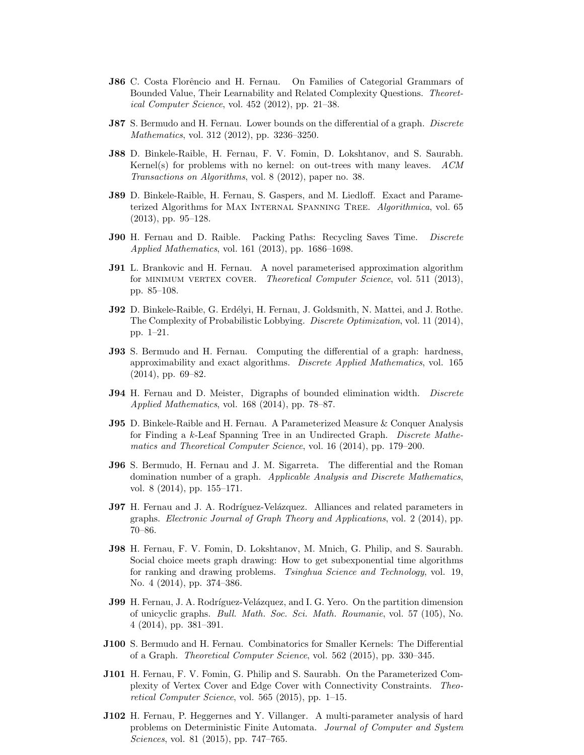- **J86** C. Costa Florêncio and H. Fernau. On Families of Categorial Grammars of Bounded Value, Their Learnability and Related Complexity Questions. Theoretical Computer Science, vol. 452 (2012), pp. 21–38.
- **J87** S. Bermudo and H. Fernau. Lower bounds on the differential of a graph. *Discrete* Mathematics, vol. 312 (2012), pp. 3236–3250.
- J88 D. Binkele-Raible, H. Fernau, F. V. Fomin, D. Lokshtanov, and S. Saurabh. Kernel(s) for problems with no kernel: on out-trees with many leaves.  $ACM$ Transactions on Algorithms, vol. 8 (2012), paper no. 38.
- J89 D. Binkele-Raible, H. Fernau, S. Gaspers, and M. Liedloff. Exact and Parameterized Algorithms for MAX INTERNAL SPANNING TREE. Algorithmica, vol. 65 (2013), pp. 95–128.
- **J90** H. Fernau and D. Raible. Packing Paths: Recycling Saves Time. *Discrete* Applied Mathematics, vol. 161 (2013), pp. 1686–1698.
- J91 L. Brankovic and H. Fernau. A novel parameterised approximation algorithm for MINIMUM VERTEX COVER. Theoretical Computer Science, vol. 511 (2013), pp. 85–108.
- J92 D. Binkele-Raible, G. Erdélyi, H. Fernau, J. Goldsmith, N. Mattei, and J. Rothe. The Complexity of Probabilistic Lobbying. Discrete Optimization, vol. 11 (2014), pp. 1–21.
- J93 S. Bermudo and H. Fernau. Computing the differential of a graph: hardness, approximability and exact algorithms. Discrete Applied Mathematics, vol. 165 (2014), pp. 69–82.
- **J94** H. Fernau and D. Meister, Digraphs of bounded elimination width. *Discrete* Applied Mathematics, vol. 168 (2014), pp. 78–87.
- J95 D. Binkele-Raible and H. Fernau. A Parameterized Measure & Conquer Analysis for Finding a k-Leaf Spanning Tree in an Undirected Graph. Discrete Mathematics and Theoretical Computer Science, vol. 16 (2014), pp. 179–200.
- J96 S. Bermudo, H. Fernau and J. M. Sigarreta. The differential and the Roman domination number of a graph. Applicable Analysis and Discrete Mathematics, vol. 8 (2014), pp. 155–171.
- J97 H. Fernau and J. A. Rodríguez-Velázquez. Alliances and related parameters in graphs. Electronic Journal of Graph Theory and Applications, vol. 2 (2014), pp. 70–86.
- J98 H. Fernau, F. V. Fomin, D. Lokshtanov, M. Mnich, G. Philip, and S. Saurabh. Social choice meets graph drawing: How to get subexponential time algorithms for ranking and drawing problems. Tsinghua Science and Technology, vol. 19, No. 4 (2014), pp. 374–386.
- **J99** H. Fernau, J. A. Rodríguez-Velázquez, and I. G. Yero. On the partition dimension of unicyclic graphs. Bull. Math. Soc. Sci. Math. Roumanie, vol. 57 (105), No. 4 (2014), pp. 381–391.
- J100 S. Bermudo and H. Fernau. Combinatorics for Smaller Kernels: The Differential of a Graph. Theoretical Computer Science, vol. 562 (2015), pp. 330–345.
- J101 H. Fernau, F. V. Fomin, G. Philip and S. Saurabh. On the Parameterized Complexity of Vertex Cover and Edge Cover with Connectivity Constraints. Theoretical Computer Science, vol. 565 (2015), pp. 1–15.
- J102 H. Fernau, P. Heggernes and Y. Villanger. A multi-parameter analysis of hard problems on Deterministic Finite Automata. Journal of Computer and System Sciences, vol. 81 (2015), pp. 747–765.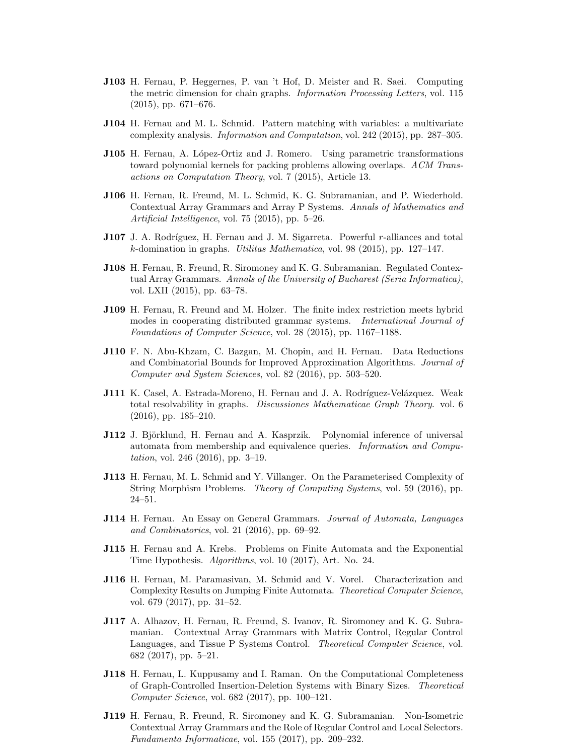- J103 H. Fernau, P. Heggernes, P. van 't Hof, D. Meister and R. Saei. Computing the metric dimension for chain graphs. Information Processing Letters, vol. 115 (2015), pp. 671–676.
- J104 H. Fernau and M. L. Schmid. Pattern matching with variables: a multivariate complexity analysis. Information and Computation, vol. 242 (2015), pp. 287–305.
- **J105** H. Fernau, A. López-Ortiz and J. Romero. Using parametric transformations toward polynomial kernels for packing problems allowing overlaps. ACM Transactions on Computation Theory, vol. 7 (2015), Article 13.
- J106 H. Fernau, R. Freund, M. L. Schmid, K. G. Subramanian, and P. Wiederhold. Contextual Array Grammars and Array P Systems. Annals of Mathematics and Artificial Intelligence, vol. 75 (2015), pp. 5–26.
- J107 J. A. Rodríguez, H. Fernau and J. M. Sigarreta. Powerful r-alliances and total k-domination in graphs. Utilitas Mathematica, vol. 98 (2015), pp. 127–147.
- J108 H. Fernau, R. Freund, R. Siromoney and K. G. Subramanian. Regulated Contextual Array Grammars. Annals of the University of Bucharest (Seria Informatica), vol. LXII (2015), pp. 63–78.
- J109 H. Fernau, R. Freund and M. Holzer. The finite index restriction meets hybrid modes in cooperating distributed grammar systems. International Journal of Foundations of Computer Science, vol. 28 (2015), pp. 1167–1188.
- J110 F. N. Abu-Khzam, C. Bazgan, M. Chopin, and H. Fernau. Data Reductions and Combinatorial Bounds for Improved Approximation Algorithms. Journal of Computer and System Sciences, vol. 82 (2016), pp. 503–520.
- J111 K. Casel, A. Estrada-Moreno, H. Fernau and J. A. Rodríguez-Velázquez. Weak total resolvability in graphs. Discussiones Mathematicae Graph Theory. vol. 6 (2016), pp. 185–210.
- J112 J. Björklund, H. Fernau and A. Kasprzik. Polynomial inference of universal automata from membership and equivalence queries. Information and Computation, vol. 246 (2016), pp. 3–19.
- J113 H. Fernau, M. L. Schmid and Y. Villanger. On the Parameterised Complexity of String Morphism Problems. Theory of Computing Systems, vol. 59 (2016), pp. 24–51.
- J114 H. Fernau. An Essay on General Grammars. Journal of Automata, Languages and Combinatorics, vol. 21 (2016), pp. 69–92.
- J115 H. Fernau and A. Krebs. Problems on Finite Automata and the Exponential Time Hypothesis. Algorithms, vol. 10 (2017), Art. No. 24.
- J116 H. Fernau, M. Paramasivan, M. Schmid and V. Vorel. Characterization and Complexity Results on Jumping Finite Automata. Theoretical Computer Science, vol. 679 (2017), pp. 31–52.
- J117 A. Alhazov, H. Fernau, R. Freund, S. Ivanov, R. Siromoney and K. G. Subramanian. Contextual Array Grammars with Matrix Control, Regular Control Languages, and Tissue P Systems Control. Theoretical Computer Science, vol. 682 (2017), pp. 5–21.
- J118 H. Fernau, L. Kuppusamy and I. Raman. On the Computational Completeness of Graph-Controlled Insertion-Deletion Systems with Binary Sizes. Theoretical Computer Science, vol. 682 (2017), pp. 100–121.
- J119 H. Fernau, R. Freund, R. Siromoney and K. G. Subramanian. Non-Isometric Contextual Array Grammars and the Role of Regular Control and Local Selectors. Fundamenta Informaticae, vol. 155 (2017), pp. 209–232.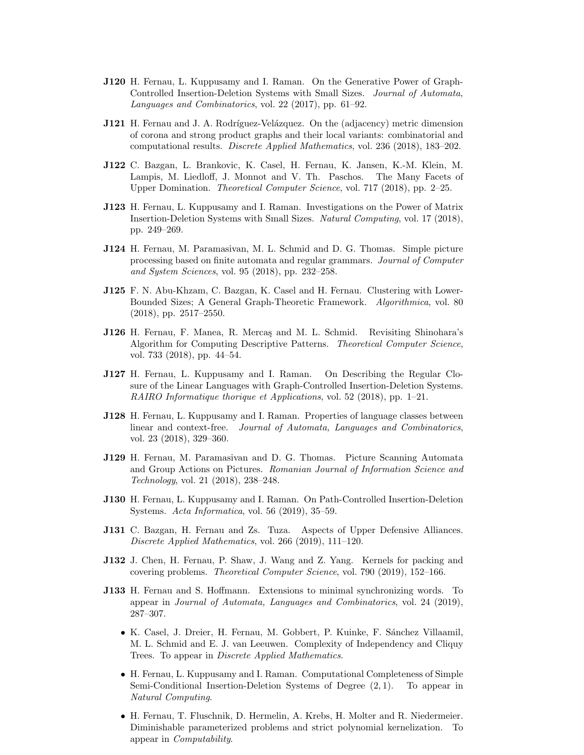- J120 H. Fernau, L. Kuppusamy and I. Raman. On the Generative Power of Graph-Controlled Insertion-Deletion Systems with Small Sizes. Journal of Automata, Languages and Combinatorics, vol. 22 (2017), pp. 61–92.
- **J121** H. Fernau and J. A. Rodríguez-Velázquez. On the (adjacency) metric dimension of corona and strong product graphs and their local variants: combinatorial and computational results. Discrete Applied Mathematics, vol. 236 (2018), 183–202.
- J122 C. Bazgan, L. Brankovic, K. Casel, H. Fernau, K. Jansen, K.-M. Klein, M. Lampis, M. Liedloff, J. Monnot and V. Th. Paschos. The Many Facets of Upper Domination. Theoretical Computer Science, vol. 717 (2018), pp. 2–25.
- J123 H. Fernau, L. Kuppusamy and I. Raman. Investigations on the Power of Matrix Insertion-Deletion Systems with Small Sizes. Natural Computing, vol. 17 (2018), pp. 249–269.
- J124 H. Fernau, M. Paramasivan, M. L. Schmid and D. G. Thomas. Simple picture processing based on finite automata and regular grammars. Journal of Computer and System Sciences, vol. 95 (2018), pp. 232–258.
- J125 F. N. Abu-Khzam, C. Bazgan, K. Casel and H. Fernau. Clustering with Lower-Bounded Sizes; A General Graph-Theoretic Framework. Algorithmica, vol. 80 (2018), pp. 2517–2550.
- J126 H. Fernau, F. Manea, R. Mercas and M. L. Schmid. Revisiting Shinohara's Algorithm for Computing Descriptive Patterns. Theoretical Computer Science, vol. 733 (2018), pp. 44–54.
- J127 H. Fernau, L. Kuppusamy and I. Raman. On Describing the Regular Closure of the Linear Languages with Graph-Controlled Insertion-Deletion Systems. RAIRO Informatique thorique et Applications, vol. 52 (2018), pp. 1–21.
- J128 H. Fernau, L. Kuppusamy and I. Raman. Properties of language classes between linear and context-free. Journal of Automata, Languages and Combinatorics, vol. 23 (2018), 329–360.
- J129 H. Fernau, M. Paramasivan and D. G. Thomas. Picture Scanning Automata and Group Actions on Pictures. Romanian Journal of Information Science and Technology, vol. 21 (2018), 238–248.
- J130 H. Fernau, L. Kuppusamy and I. Raman. On Path-Controlled Insertion-Deletion Systems. Acta Informatica, vol. 56 (2019), 35–59.
- J131 C. Bazgan, H. Fernau and Zs. Tuza. Aspects of Upper Defensive Alliances. Discrete Applied Mathematics, vol. 266 (2019), 111–120.
- J132 J. Chen, H. Fernau, P. Shaw, J. Wang and Z. Yang. Kernels for packing and covering problems. Theoretical Computer Science, vol. 790 (2019), 152–166.
- J133 H. Fernau and S. Hoffmann. Extensions to minimal synchronizing words. To appear in Journal of Automata, Languages and Combinatorics, vol. 24 (2019), 287–307.
	- K. Casel, J. Dreier, H. Fernau, M. Gobbert, P. Kuinke, F. Sánchez Villaamil, M. L. Schmid and E. J. van Leeuwen. Complexity of Independency and Cliquy Trees. To appear in Discrete Applied Mathematics.
	- H. Fernau, L. Kuppusamy and I. Raman. Computational Completeness of Simple Semi-Conditional Insertion-Deletion Systems of Degree (2, 1). To appear in Natural Computing.
	- H. Fernau, T. Fluschnik, D. Hermelin, A. Krebs, H. Molter and R. Niedermeier. Diminishable parameterized problems and strict polynomial kernelization. To appear in Computability.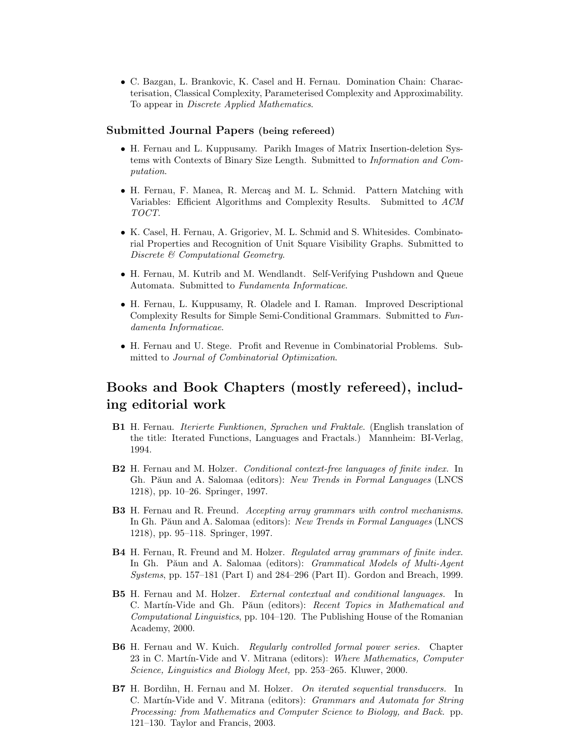• C. Bazgan, L. Brankovic, K. Casel and H. Fernau. Domination Chain: Characterisation, Classical Complexity, Parameterised Complexity and Approximability. To appear in Discrete Applied Mathematics.

### Submitted Journal Papers (being refereed)

- H. Fernau and L. Kuppusamy. Parikh Images of Matrix Insertion-deletion Systems with Contexts of Binary Size Length. Submitted to Information and Computation.
- H. Fernau, F. Manea, R. Mercas and M. L. Schmid. Pattern Matching with Variables: Efficient Algorithms and Complexity Results. Submitted to ACM TOCT.
- K. Casel, H. Fernau, A. Grigoriev, M. L. Schmid and S. Whitesides. Combinatorial Properties and Recognition of Unit Square Visibility Graphs. Submitted to Discrete & Computational Geometry.
- H. Fernau, M. Kutrib and M. Wendlandt. Self-Verifying Pushdown and Queue Automata. Submitted to Fundamenta Informaticae.
- H. Fernau, L. Kuppusamy, R. Oladele and I. Raman. Improved Descriptional Complexity Results for Simple Semi-Conditional Grammars. Submitted to Fundamenta Informaticae.
- H. Fernau and U. Stege. Profit and Revenue in Combinatorial Problems. Submitted to Journal of Combinatorial Optimization.

## Books and Book Chapters (mostly refereed), including editorial work

- B1 H. Fernau. Iterierte Funktionen, Sprachen und Fraktale. (English translation of the title: Iterated Functions, Languages and Fractals.) Mannheim: BI-Verlag, 1994.
- B2 H. Fernau and M. Holzer. Conditional context-free languages of finite index. In Gh. Păun and A. Salomaa (editors): New Trends in Formal Languages (LNCS 1218), pp. 10–26. Springer, 1997.
- B3 H. Fernau and R. Freund. Accepting array grammars with control mechanisms. In Gh. Păun and A. Salomaa (editors): New Trends in Formal Languages (LNCS 1218), pp. 95–118. Springer, 1997.
- B4 H. Fernau, R. Freund and M. Holzer. Regulated array grammars of finite index. In Gh. Păun and A. Salomaa (editors): *Grammatical Models of Multi-Agent* Systems, pp. 157–181 (Part I) and 284–296 (Part II). Gordon and Breach, 1999.
- B5 H. Fernau and M. Holzer. External contextual and conditional languages. In C. Martín-Vide and Gh. Păun (editors): Recent Topics in Mathematical and Computational Linguistics, pp. 104–120. The Publishing House of the Romanian Academy, 2000.
- B6 H. Fernau and W. Kuich. Regularly controlled formal power series. Chapter 23 in C. Martín-Vide and V. Mitrana (editors): Where Mathematics, Computer Science, Linguistics and Biology Meet, pp. 253–265. Kluwer, 2000.
- B7 H. Bordihn, H. Fernau and M. Holzer. On iterated sequential transducers. In C. Martín-Vide and V. Mitrana (editors): Grammars and Automata for String Processing: from Mathematics and Computer Science to Biology, and Back. pp. 121–130. Taylor and Francis, 2003.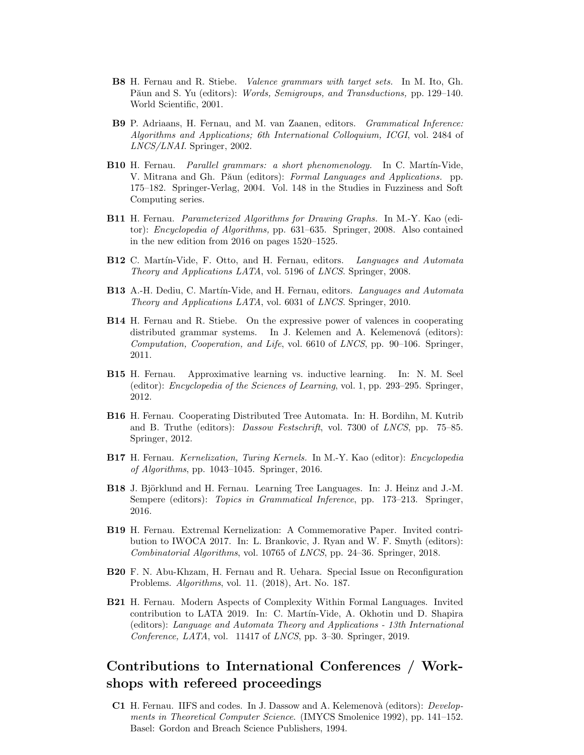- B8 H. Fernau and R. Stiebe. Valence grammars with target sets. In M. Ito, Gh. Păun and S. Yu (editors): Words, Semigroups, and Transductions, pp. 129-140. World Scientific, 2001.
- B9 P. Adriaans, H. Fernau, and M. van Zaanen, editors. Grammatical Inference: Algorithms and Applications; 6th International Colloquium, ICGI, vol. 2484 of LNCS/LNAI. Springer, 2002.
- B10 H. Fernau. Parallel grammars: a short phenomenology. In C. Martín-Vide, V. Mitrana and Gh. Păun (editors): Formal Languages and Applications. pp. 175–182. Springer-Verlag, 2004. Vol. 148 in the Studies in Fuzziness and Soft Computing series.
- B11 H. Fernau. Parameterized Algorithms for Drawing Graphs. In M.-Y. Kao (editor): Encyclopedia of Algorithms, pp. 631–635. Springer, 2008. Also contained in the new edition from 2016 on pages 1520–1525.
- B12 C. Martín-Vide, F. Otto, and H. Fernau, editors. Languages and Automata Theory and Applications LATA, vol. 5196 of LNCS. Springer, 2008.
- B13 A.-H. Dediu, C. Martín-Vide, and H. Fernau, editors. Languages and Automata Theory and Applications LATA, vol. 6031 of LNCS. Springer, 2010.
- B14 H. Fernau and R. Stiebe. On the expressive power of valences in cooperating distributed grammar systems. In J. Kelemen and A. Kelemenová (editors): Computation, Cooperation, and Life, vol. 6610 of LNCS, pp. 90–106. Springer, 2011.
- B15 H. Fernau. Approximative learning vs. inductive learning. In: N. M. Seel (editor): Encyclopedia of the Sciences of Learning, vol. 1, pp. 293–295. Springer, 2012.
- B16 H. Fernau. Cooperating Distributed Tree Automata. In: H. Bordihn, M. Kutrib and B. Truthe (editors): Dassow Festschrift, vol. 7300 of LNCS, pp. 75–85. Springer, 2012.
- B17 H. Fernau. Kernelization, Turing Kernels. In M.-Y. Kao (editor): Encyclopedia of Algorithms, pp. 1043–1045. Springer, 2016.
- B18 J. Björklund and H. Fernau. Learning Tree Languages. In: J. Heinz and J.-M. Sempere (editors): Topics in Grammatical Inference, pp. 173–213. Springer, 2016.
- B19 H. Fernau. Extremal Kernelization: A Commemorative Paper. Invited contribution to IWOCA 2017. In: L. Brankovic, J. Ryan and W. F. Smyth (editors): Combinatorial Algorithms, vol. 10765 of LNCS, pp. 24–36. Springer, 2018.
- B20 F. N. Abu-Khzam, H. Fernau and R. Uehara. Special Issue on Reconfiguration Problems. Algorithms, vol. 11. (2018), Art. No. 187.
- B21 H. Fernau. Modern Aspects of Complexity Within Formal Languages. Invited contribution to LATA 2019. In: C. Mart´ın-Vide, A. Okhotin und D. Shapira (editors): Language and Automata Theory and Applications - 13th International Conference, LATA, vol. 11417 of LNCS, pp. 3–30. Springer, 2019.

## Contributions to International Conferences / Workshops with refereed proceedings

C1 H. Fernau. IIFS and codes. In J. Dassow and A. Kelemenovà (editors): Developments in Theoretical Computer Science. (IMYCS Smolenice 1992), pp. 141–152. Basel: Gordon and Breach Science Publishers, 1994.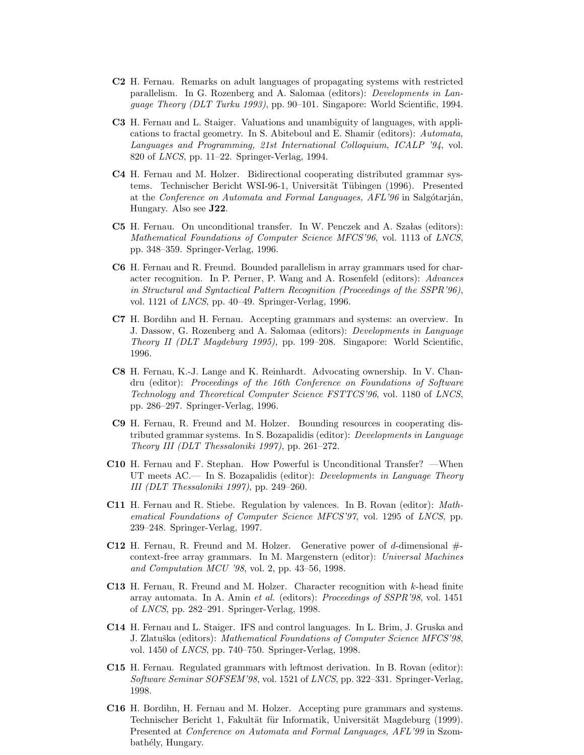- C2 H. Fernau. Remarks on adult languages of propagating systems with restricted parallelism. In G. Rozenberg and A. Salomaa (editors): Developments in Language Theory (DLT Turku 1993), pp. 90–101. Singapore: World Scientific, 1994.
- C3 H. Fernau and L. Staiger. Valuations and unambiguity of languages, with applications to fractal geometry. In S. Abiteboul and E. Shamir (editors): Automata, Languages and Programming, 21st International Colloquium, ICALP '94, vol. 820 of LNCS, pp. 11–22. Springer-Verlag, 1994.
- C4 H. Fernau and M. Holzer. Bidirectional cooperating distributed grammar systems. Technischer Bericht WSI-96-1, Universität Tübingen (1996). Presented at the Conference on Automata and Formal Languages, AFL'96 in Salgótarján, Hungary. Also see J22.
- C5 H. Fernau. On unconditional transfer. In W. Penczek and A. Szałas (editors): Mathematical Foundations of Computer Science MFCS'96, vol. 1113 of LNCS, pp. 348–359. Springer-Verlag, 1996.
- C6 H. Fernau and R. Freund. Bounded parallelism in array grammars used for character recognition. In P. Perner, P. Wang and A. Rosenfeld (editors): Advances in Structural and Syntactical Pattern Recognition (Proceedings of the SSPR'96), vol. 1121 of LNCS, pp. 40–49. Springer-Verlag, 1996.
- C7 H. Bordihn and H. Fernau. Accepting grammars and systems: an overview. In J. Dassow, G. Rozenberg and A. Salomaa (editors): Developments in Language Theory II (DLT Magdeburg 1995), pp. 199–208. Singapore: World Scientific, 1996.
- C8 H. Fernau, K.-J. Lange and K. Reinhardt. Advocating ownership. In V. Chandru (editor): Proceedings of the 16th Conference on Foundations of Software Technology and Theoretical Computer Science FSTTCS'96, vol. 1180 of LNCS, pp. 286–297. Springer-Verlag, 1996.
- C9 H. Fernau, R. Freund and M. Holzer. Bounding resources in cooperating distributed grammar systems. In S. Bozapalidis (editor): Developments in Language Theory III (DLT Thessaloniki 1997), pp. 261–272.
- C10 H. Fernau and F. Stephan. How Powerful is Unconditional Transfer? —When UT meets AC.— In S. Bozapalidis (editor): *Developments in Language Theory* III (DLT Thessaloniki 1997), pp. 249–260.
- C11 H. Fernau and R. Stiebe. Regulation by valences. In B. Rovan (editor): Mathematical Foundations of Computer Science MFCS'97, vol. 1295 of LNCS, pp. 239–248. Springer-Verlag, 1997.
- **C12** H. Fernau, R. Freund and M. Holzer. Generative power of d-dimensional  $#$ context-free array grammars. In M. Margenstern (editor): Universal Machines and Computation MCU '98, vol. 2, pp. 43–56, 1998.
- C13 H. Fernau, R. Freund and M. Holzer. Character recognition with k-head finite array automata. In A. Amin et al. (editors): Proceedings of SSPR'98, vol. 1451 of LNCS, pp. 282–291. Springer-Verlag, 1998.
- C14 H. Fernau and L. Staiger. IFS and control languages. In L. Brim, J. Gruska and J. Zlatuška (editors): Mathematical Foundations of Computer Science MFCS'98, vol. 1450 of LNCS, pp. 740–750. Springer-Verlag, 1998.
- C15 H. Fernau. Regulated grammars with leftmost derivation. In B. Rovan (editor): Software Seminar SOFSEM'98, vol. 1521 of LNCS, pp. 322–331. Springer-Verlag, 1998.
- C16 H. Bordihn, H. Fernau and M. Holzer. Accepting pure grammars and systems. Technischer Bericht 1, Fakultät für Informatik, Universität Magdeburg (1999). Presented at Conference on Automata and Formal Languages, AFL'99 in Szombathély, Hungary.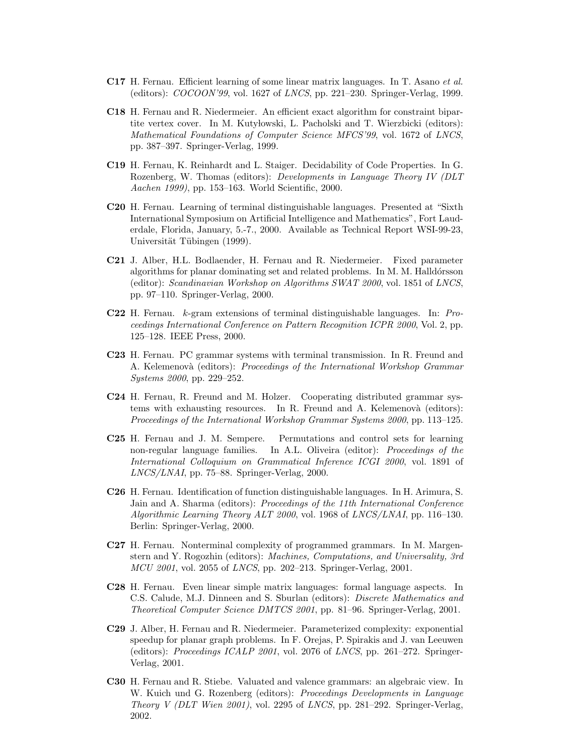- C17 H. Fernau. Efficient learning of some linear matrix languages. In T. Asano et al. (editors): COCOON'99, vol. 1627 of LNCS, pp. 221–230. Springer-Verlag, 1999.
- C18 H. Fernau and R. Niedermeier. An efficient exact algorithm for constraint bipartite vertex cover. In M. Kutylowski, L. Pacholski and T. Wierzbicki (editors): Mathematical Foundations of Computer Science MFCS'99, vol. 1672 of LNCS, pp. 387–397. Springer-Verlag, 1999.
- C19 H. Fernau, K. Reinhardt and L. Staiger. Decidability of Code Properties. In G. Rozenberg, W. Thomas (editors): Developments in Language Theory IV (DLT Aachen 1999), pp. 153–163. World Scientific, 2000.
- C20 H. Fernau. Learning of terminal distinguishable languages. Presented at "Sixth International Symposium on Artificial Intelligence and Mathematics", Fort Lauderdale, Florida, January, 5.-7., 2000. Available as Technical Report WSI-99-23, Universität Tübingen (1999).
- C21 J. Alber, H.L. Bodlaender, H. Fernau and R. Niedermeier. Fixed parameter algorithms for planar dominating set and related problems. In M. M. Halldórsson (editor): Scandinavian Workshop on Algorithms SWAT 2000, vol. 1851 of LNCS, pp. 97–110. Springer-Verlag, 2000.
- C22 H. Fernau. k-gram extensions of terminal distinguishable languages. In: Proceedings International Conference on Pattern Recognition ICPR 2000, Vol. 2, pp. 125–128. IEEE Press, 2000.
- C23 H. Fernau. PC grammar systems with terminal transmission. In R. Freund and A. Kelemenovà (editors): Proceedings of the International Workshop Grammar Systems 2000, pp. 229–252.
- C24 H. Fernau, R. Freund and M. Holzer. Cooperating distributed grammar systems with exhausting resources. In R. Freund and A. Kelemenovà (editors): Proceedings of the International Workshop Grammar Systems 2000, pp. 113–125.
- C25 H. Fernau and J. M. Sempere. Permutations and control sets for learning non-regular language families. In A.L. Oliveira (editor): *Proceedings of the* International Colloquium on Grammatical Inference ICGI 2000, vol. 1891 of LNCS/LNAI, pp. 75–88. Springer-Verlag, 2000.
- C26 H. Fernau. Identification of function distinguishable languages. In H. Arimura, S. Jain and A. Sharma (editors): Proceedings of the 11th International Conference Algorithmic Learning Theory ALT 2000, vol. 1968 of LNCS/LNAI, pp. 116–130. Berlin: Springer-Verlag, 2000.
- C27 H. Fernau. Nonterminal complexity of programmed grammars. In M. Margenstern and Y. Rogozhin (editors): Machines, Computations, and Universality, 3rd MCU 2001, vol. 2055 of LNCS, pp. 202–213. Springer-Verlag, 2001.
- C28 H. Fernau. Even linear simple matrix languages: formal language aspects. In C.S. Calude, M.J. Dinneen and S. Sburlan (editors): Discrete Mathematics and Theoretical Computer Science DMTCS 2001, pp. 81–96. Springer-Verlag, 2001.
- C29 J. Alber, H. Fernau and R. Niedermeier. Parameterized complexity: exponential speedup for planar graph problems. In F. Orejas, P. Spirakis and J. van Leeuwen (editors): Proceedings ICALP 2001, vol. 2076 of LNCS, pp. 261–272. Springer-Verlag, 2001.
- C30 H. Fernau and R. Stiebe. Valuated and valence grammars: an algebraic view. In W. Kuich und G. Rozenberg (editors): Proceedings Developments in Language Theory V (DLT Wien 2001), vol. 2295 of LNCS, pp. 281–292. Springer-Verlag, 2002.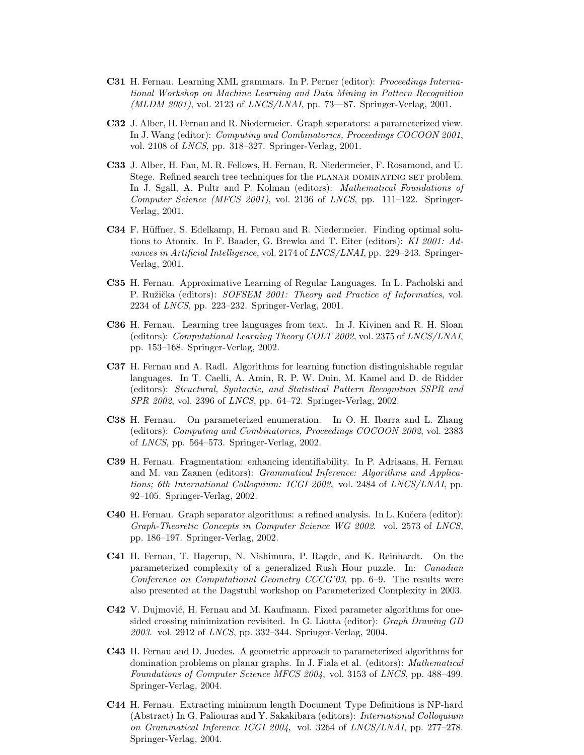- C31 H. Fernau. Learning XML grammars. In P. Perner (editor): Proceedings International Workshop on Machine Learning and Data Mining in Pattern Recognition (MLDM 2001), vol. 2123 of LNCS/LNAI, pp. 73-87. Springer-Verlag, 2001.
- C32 J. Alber, H. Fernau and R. Niedermeier. Graph separators: a parameterized view. In J. Wang (editor): Computing and Combinatorics, Proceedings COCOON 2001, vol. 2108 of LNCS, pp. 318–327. Springer-Verlag, 2001.
- C33 J. Alber, H. Fan, M. R. Fellows, H. Fernau, R. Niedermeier, F. Rosamond, and U. Stege. Refined search tree techniques for the PLANAR DOMINATING SET problem. In J. Sgall, A. Pultr and P. Kolman (editors): Mathematical Foundations of Computer Science (MFCS 2001), vol. 2136 of LNCS, pp. 111–122. Springer-Verlag, 2001.
- C34 F. Hüffner, S. Edelkamp, H. Fernau and R. Niedermeier. Finding optimal solutions to Atomix. In F. Baader, G. Brewka and T. Eiter (editors): KI 2001: Advances in Artificial Intelligence, vol. 2174 of LNCS/LNAI, pp. 229–243. Springer-Verlag, 2001.
- C35 H. Fernau. Approximative Learning of Regular Languages. In L. Pacholski and P. Ružička (editors): SOFSEM 2001: Theory and Practice of Informatics, vol. 2234 of LNCS, pp. 223–232. Springer-Verlag, 2001.
- C36 H. Fernau. Learning tree languages from text. In J. Kivinen and R. H. Sloan (editors): Computational Learning Theory COLT 2002, vol. 2375 of LNCS/LNAI, pp. 153–168. Springer-Verlag, 2002.
- C37 H. Fernau and A. Radl. Algorithms for learning function distinguishable regular languages. In T. Caelli, A. Amin, R. P. W. Duin, M. Kamel and D. de Ridder (editors): Structural, Syntactic, and Statistical Pattern Recognition SSPR and SPR 2002, vol. 2396 of LNCS, pp. 64–72. Springer-Verlag, 2002.
- C38 H. Fernau. On parameterized enumeration. In O. H. Ibarra and L. Zhang (editors): Computing and Combinatorics, Proceedings COCOON 2002, vol. 2383 of LNCS, pp. 564–573. Springer-Verlag, 2002.
- C39 H. Fernau. Fragmentation: enhancing identifiability. In P. Adriaans, H. Fernau and M. van Zaanen (editors): Grammatical Inference: Algorithms and Applications; 6th International Colloquium: ICGI 2002, vol. 2484 of LNCS/LNAI, pp. 92–105. Springer-Verlag, 2002.
- C40 H. Fernau. Graph separator algorithms: a refined analysis. In L. Kučera (editor): Graph-Theoretic Concepts in Computer Science WG 2002. vol. 2573 of LNCS, pp. 186–197. Springer-Verlag, 2002.
- C41 H. Fernau, T. Hagerup, N. Nishimura, P. Ragde, and K. Reinhardt. On the parameterized complexity of a generalized Rush Hour puzzle. In: Canadian Conference on Computational Geometry CCCG'03, pp. 6–9. The results were also presented at the Dagstuhl workshop on Parameterized Complexity in 2003.
- **C42** V. Dujmović, H. Fernau and M. Kaufmann. Fixed parameter algorithms for onesided crossing minimization revisited. In G. Liotta (editor): Graph Drawing GD 2003. vol. 2912 of LNCS, pp. 332–344. Springer-Verlag, 2004.
- C43 H. Fernau and D. Juedes. A geometric approach to parameterized algorithms for domination problems on planar graphs. In J. Fiala et al. (editors): Mathematical Foundations of Computer Science MFCS 2004, vol. 3153 of LNCS, pp. 488–499. Springer-Verlag, 2004.
- C44 H. Fernau. Extracting minimum length Document Type Definitions is NP-hard (Abstract) In G. Paliouras and Y. Sakakibara (editors): International Colloquium on Grammatical Inference ICGI 2004, vol. 3264 of LNCS/LNAI, pp. 277–278. Springer-Verlag, 2004.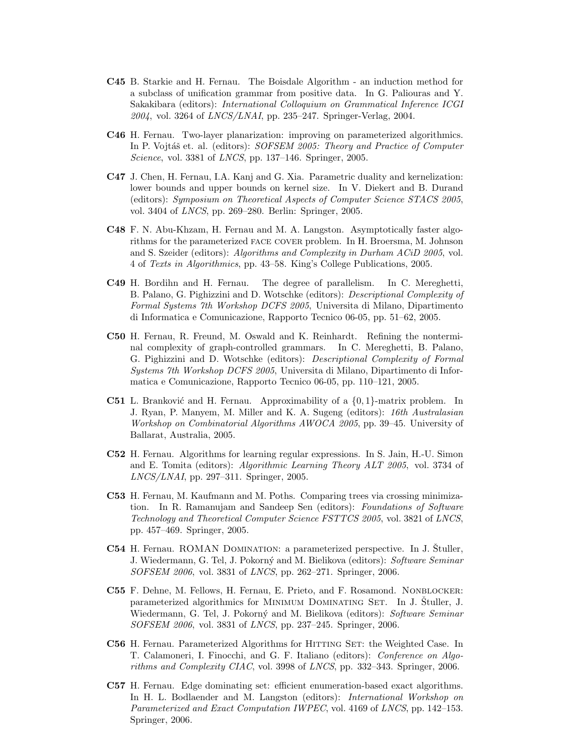- C45 B. Starkie and H. Fernau. The Boisdale Algorithm an induction method for a subclass of unification grammar from positive data. In G. Paliouras and Y. Sakakibara (editors): International Colloquium on Grammatical Inference ICGI  $2004$ , vol. 3264 of *LNCS/LNAI*, pp. 235–247. Springer-Verlag, 2004.
- C46 H. Fernau. Two-layer planarization: improving on parameterized algorithmics. In P. Vojtáš et. al. (editors): SOFSEM 2005: Theory and Practice of Computer Science, vol. 3381 of LNCS, pp. 137–146. Springer, 2005.
- C47 J. Chen, H. Fernau, I.A. Kanj and G. Xia. Parametric duality and kernelization: lower bounds and upper bounds on kernel size. In V. Diekert and B. Durand (editors): Symposium on Theoretical Aspects of Computer Science STACS 2005, vol. 3404 of LNCS, pp. 269–280. Berlin: Springer, 2005.
- C48 F. N. Abu-Khzam, H. Fernau and M. A. Langston. Asymptotically faster algorithms for the parameterized face cover problem. In H. Broersma, M. Johnson and S. Szeider (editors): Algorithms and Complexity in Durham ACiD 2005, vol. 4 of Texts in Algorithmics, pp. 43–58. King's College Publications, 2005.
- C49 H. Bordihn and H. Fernau. The degree of parallelism. In C. Mereghetti, B. Palano, G. Pighizzini and D. Wotschke (editors): Descriptional Complexity of Formal Systems 7th Workshop DCFS 2005, Universita di Milano, Dipartimento di Informatica e Comunicazione, Rapporto Tecnico 06-05, pp. 51–62, 2005.
- C50 H. Fernau, R. Freund, M. Oswald and K. Reinhardt. Refining the nonterminal complexity of graph-controlled grammars. In C. Mereghetti, B. Palano, G. Pighizzini and D. Wotschke (editors): Descriptional Complexity of Formal Systems 7th Workshop DCFS 2005, Universita di Milano, Dipartimento di Informatica e Comunicazione, Rapporto Tecnico 06-05, pp. 110–121, 2005.
- **C51** L. Branković and H. Fernau. Approximability of a  $\{0, 1\}$ -matrix problem. In J. Ryan, P. Manyem, M. Miller and K. A. Sugeng (editors): 16th Australasian Workshop on Combinatorial Algorithms AWOCA 2005, pp. 39–45. University of Ballarat, Australia, 2005.
- C52 H. Fernau. Algorithms for learning regular expressions. In S. Jain, H.-U. Simon and E. Tomita (editors): Algorithmic Learning Theory ALT 2005, vol. 3734 of LNCS/LNAI, pp. 297–311. Springer, 2005.
- C53 H. Fernau, M. Kaufmann and M. Poths. Comparing trees via crossing minimization. In R. Ramanujam and Sandeep Sen (editors): Foundations of Software Technology and Theoretical Computer Science FSTTCS 2005, vol. 3821 of LNCS, pp. 457–469. Springer, 2005.
- C54 H. Fernau. ROMAN DOMINATION: a parameterized perspective. In J. Stuller, J. Wiedermann, G. Tel, J. Pokorný and M. Bielikova (editors): Software Seminar SOFSEM 2006, vol. 3831 of LNCS, pp. 262–271. Springer, 2006.
- C55 F. Dehne, M. Fellows, H. Fernau, E. Prieto, and F. Rosamond. Nonblocker: parameterized algorithmics for MINIMUM DOMINATING SET. In J. Stuller, J. Wiedermann, G. Tel, J. Pokorný and M. Bielikova (editors): Software Seminar SOFSEM 2006, vol. 3831 of LNCS, pp. 237–245. Springer, 2006.
- C56 H. Fernau. Parameterized Algorithms for HITTING SET: the Weighted Case. In T. Calamoneri, I. Finocchi, and G. F. Italiano (editors): Conference on Algorithms and Complexity CIAC, vol. 3998 of LNCS, pp. 332–343. Springer, 2006.
- C57 H. Fernau. Edge dominating set: efficient enumeration-based exact algorithms. In H. L. Bodlaender and M. Langston (editors): *International Workshop on* Parameterized and Exact Computation IWPEC, vol. 4169 of LNCS, pp. 142–153. Springer, 2006.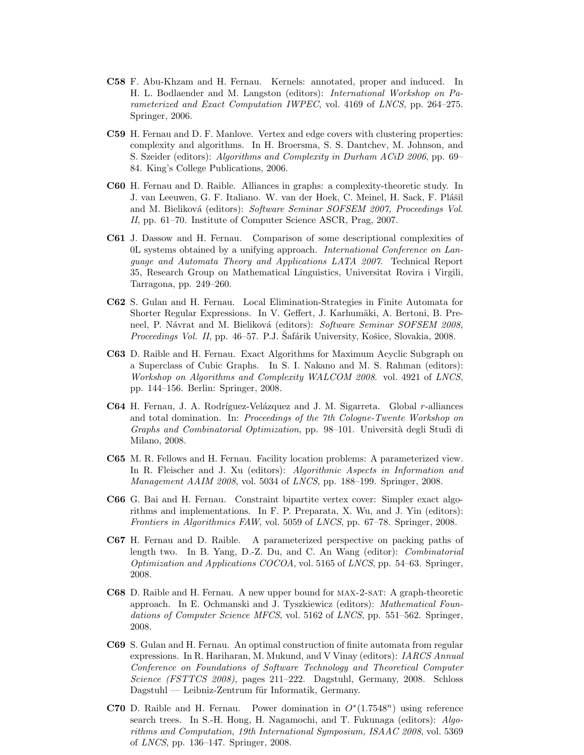- C58 F. Abu-Khzam and H. Fernau. Kernels: annotated, proper and induced. In H. L. Bodlaender and M. Langston (editors): International Workshop on Parameterized and Exact Computation IWPEC, vol. 4169 of LNCS, pp. 264–275. Springer, 2006.
- C59 H. Fernau and D. F. Manlove. Vertex and edge covers with clustering properties: complexity and algorithms. In H. Broersma, S. S. Dantchev, M. Johnson, and S. Szeider (editors): Algorithms and Complexity in Durham ACiD 2006, pp. 69– 84. King's College Publications, 2006.
- C60 H. Fernau and D. Raible. Alliances in graphs: a complexity-theoretic study. In J. van Leeuwen, G. F. Italiano. W. van der Hoek, C. Meinel, H. Sack, F. Plášil and M. Bieliková (editors): Software Seminar SOFSEM 2007, Proceedings Vol. II, pp. 61–70. Institute of Computer Science ASCR, Prag, 2007.
- C61 J. Dassow and H. Fernau. Comparison of some descriptional complexities of 0L systems obtained by a unifying approach. International Conference on Language and Automata Theory and Applications LATA 2007. Technical Report 35, Research Group on Mathematical Linguistics, Universitat Rovira i Virgili, Tarragona, pp. 249–260.
- C62 S. Gulan and H. Fernau. Local Elimination-Strategies in Finite Automata for Shorter Regular Expressions. In V. Geffert, J. Karhumäki, A. Bertoni, B. Preneel, P. Návrat and M. Bieliková (editors): Software Seminar SOFSEM 2008, Proceedings Vol. II, pp. 46–57. P.J. Safárik University, Košice, Slovakia, 2008.
- C63 D. Raible and H. Fernau. Exact Algorithms for Maximum Acyclic Subgraph on a Superclass of Cubic Graphs. In S. I. Nakano and M. S. Rahman (editors): Workshop on Algorithms and Complexity WALCOM 2008. vol. 4921 of LNCS, pp. 144–156. Berlin: Springer, 2008.
- **C64** H. Fernau, J. A. Rodríguez-Velázquez and J. M. Sigarreta. Global r-alliances and total domination. In: Proceedings of the 7th Cologne-Twente Workshop on Graphs and Combinatorial Optimization, pp. 98-101. Università degli Studi di Milano, 2008.
- C65 M. R. Fellows and H. Fernau. Facility location problems: A parameterized view. In R. Fleischer and J. Xu (editors): *Algorithmic Aspects in Information and* Management AAIM 2008, vol. 5034 of LNCS, pp. 188–199. Springer, 2008.
- C66 G. Bai and H. Fernau. Constraint bipartite vertex cover: Simpler exact algorithms and implementations. In F. P. Preparata, X. Wu, and J. Yin (editors): Frontiers in Algorithmics FAW, vol. 5059 of LNCS, pp. 67–78. Springer, 2008.
- C67 H. Fernau and D. Raible. A parameterized perspective on packing paths of length two. In B. Yang, D.-Z. Du, and C. An Wang (editor): Combinatorial *Optimization and Applications COCOA*, vol. 5165 of *LNCS*, pp. 54–63. Springer, 2008.
- C68 D. Raible and H. Fernau. A new upper bound for max-2-sat: A graph-theoretic approach. In E. Ochmanski and J. Tyszkiewicz (editors): Mathematical Foundations of Computer Science MFCS, vol. 5162 of LNCS, pp. 551–562. Springer, 2008.
- C69 S. Gulan and H. Fernau. An optimal construction of finite automata from regular expressions. In R. Hariharan, M. Mukund, and V Vinay (editors): IARCS Annual Conference on Foundations of Software Technology and Theoretical Computer Science (FSTTCS 2008), pages 211–222. Dagstuhl, Germany, 2008. Schloss Dagstuhl — Leibniz-Zentrum für Informatik, Germany.
- **C70** D. Raible and H. Fernau. Power domination in  $O^*(1.7548^n)$  using reference search trees. In S.-H. Hong, H. Nagamochi, and T. Fukunaga (editors): Algorithms and Computation, 19th International Symposium, ISAAC 2008, vol. 5369 of LNCS, pp. 136–147. Springer, 2008.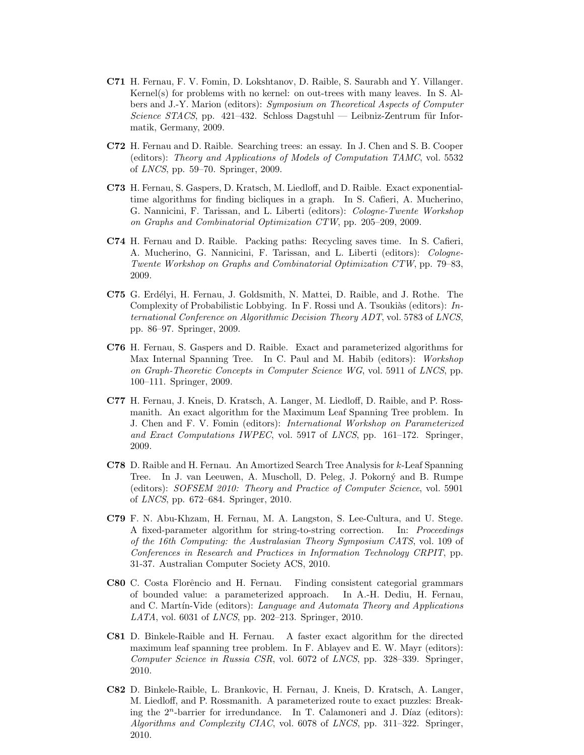- C71 H. Fernau, F. V. Fomin, D. Lokshtanov, D. Raible, S. Saurabh and Y. Villanger. Kernel(s) for problems with no kernel: on out-trees with many leaves. In S. Albers and J.-Y. Marion (editors): Symposium on Theoretical Aspects of Computer Science STACS, pp. 421–432. Schloss Dagstuhl — Leibniz-Zentrum für Informatik, Germany, 2009.
- C72 H. Fernau and D. Raible. Searching trees: an essay. In J. Chen and S. B. Cooper (editors): Theory and Applications of Models of Computation TAMC, vol. 5532 of LNCS, pp. 59–70. Springer, 2009.
- C73 H. Fernau, S. Gaspers, D. Kratsch, M. Liedloff, and D. Raible. Exact exponentialtime algorithms for finding bicliques in a graph. In S. Cafieri, A. Mucherino, G. Nannicini, F. Tarissan, and L. Liberti (editors): Cologne-Twente Workshop on Graphs and Combinatorial Optimization CTW, pp. 205–209, 2009.
- C74 H. Fernau and D. Raible. Packing paths: Recycling saves time. In S. Cafieri, A. Mucherino, G. Nannicini, F. Tarissan, and L. Liberti (editors): Cologne-Twente Workshop on Graphs and Combinatorial Optimization CTW, pp. 79–83, 2009.
- C75 G. Erdélyi, H. Fernau, J. Goldsmith, N. Mattei, D. Raible, and J. Rothe. The Complexity of Probabilistic Lobbying. In F. Rossi und A. Tsoukias (editors):  $In$ ternational Conference on Algorithmic Decision Theory ADT, vol. 5783 of LNCS, pp. 86–97. Springer, 2009.
- C76 H. Fernau, S. Gaspers and D. Raible. Exact and parameterized algorithms for Max Internal Spanning Tree. In C. Paul and M. Habib (editors): Workshop on Graph-Theoretic Concepts in Computer Science WG, vol. 5911 of LNCS, pp. 100–111. Springer, 2009.
- C77 H. Fernau, J. Kneis, D. Kratsch, A. Langer, M. Liedloff, D. Raible, and P. Rossmanith. An exact algorithm for the Maximum Leaf Spanning Tree problem. In J. Chen and F. V. Fomin (editors): International Workshop on Parameterized and Exact Computations IWPEC, vol. 5917 of LNCS, pp. 161–172. Springer, 2009.
- C78 D. Raible and H. Fernau. An Amortized Search Tree Analysis for k-Leaf Spanning Tree. In J. van Leeuwen, A. Muscholl, D. Peleg, J. Pokorný and B. Rumpe (editors): SOFSEM 2010: Theory and Practice of Computer Science, vol. 5901 of LNCS, pp. 672–684. Springer, 2010.
- C79 F. N. Abu-Khzam, H. Fernau, M. A. Langston, S. Lee-Cultura, and U. Stege. A fixed-parameter algorithm for string-to-string correction. In: Proceedings of the 16th Computing: the Australasian Theory Symposium CATS, vol. 109 of Conferences in Research and Practices in Information Technology CRPIT, pp. 31-37. Australian Computer Society ACS, 2010.
- C80 C. Costa Florˆencio and H. Fernau. Finding consistent categorial grammars of bounded value: a parameterized approach. In A.-H. Dediu, H. Fernau, and C. Martin-Vide (editors): Language and Automata Theory and Applications LATA, vol. 6031 of LNCS, pp. 202–213. Springer, 2010.
- C81 D. Binkele-Raible and H. Fernau. A faster exact algorithm for the directed maximum leaf spanning tree problem. In F. Ablayev and E. W. Mayr (editors): Computer Science in Russia CSR, vol. 6072 of LNCS, pp. 328–339. Springer, 2010.
- C82 D. Binkele-Raible, L. Brankovic, H. Fernau, J. Kneis, D. Kratsch, A. Langer, M. Liedloff, and P. Rossmanith. A parameterized route to exact puzzles: Breaking the  $2^n$ -barrier for irredundance. In T. Calamoneri and J. Díaz (editors): Algorithms and Complexity CIAC, vol. 6078 of LNCS, pp. 311–322. Springer, 2010.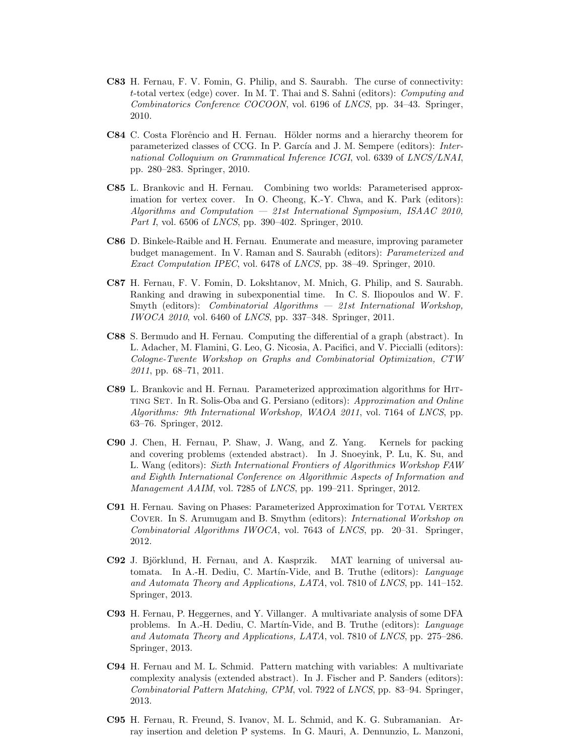- C83 H. Fernau, F. V. Fomin, G. Philip, and S. Saurabh. The curse of connectivity: t-total vertex (edge) cover. In M. T. Thai and S. Sahni (editors): Computing and Combinatorics Conference COCOON, vol. 6196 of LNCS, pp. 34–43. Springer, 2010.
- C84 C. Costa Florêncio and H. Fernau. Hölder norms and a hierarchy theorem for parameterized classes of CCG. In P. García and J. M. Sempere (editors): International Colloquium on Grammatical Inference ICGI, vol. 6339 of LNCS/LNAI, pp. 280–283. Springer, 2010.
- C85 L. Brankovic and H. Fernau. Combining two worlds: Parameterised approximation for vertex cover. In O. Cheong, K.-Y. Chwa, and K. Park (editors): Algorithms and Computation — 21st International Symposium, ISAAC 2010, Part I, vol. 6506 of LNCS, pp. 390–402. Springer, 2010.
- C86 D. Binkele-Raible and H. Fernau. Enumerate and measure, improving parameter budget management. In V. Raman and S. Saurabh (editors): Parameterized and Exact Computation IPEC, vol. 6478 of LNCS, pp. 38–49. Springer, 2010.
- C87 H. Fernau, F. V. Fomin, D. Lokshtanov, M. Mnich, G. Philip, and S. Saurabh. Ranking and drawing in subexponential time. In C. S. Iliopoulos and W. F. Smyth (editors): *Combinatorial Algorithms*  $-$  21st International Workshop, IWOCA 2010, vol. 6460 of LNCS, pp. 337–348. Springer, 2011.
- C88 S. Bermudo and H. Fernau. Computing the differential of a graph (abstract). In L. Adacher, M. Flamini, G. Leo, G. Nicosia, A. Pacifici, and V. Piccialli (editors): Cologne-Twente Workshop on Graphs and Combinatorial Optimization, CTW 2011, pp. 68–71, 2011.
- C89 L. Brankovic and H. Fernau. Parameterized approximation algorithms for Hitting Set. In R. Solis-Oba and G. Persiano (editors): Approximation and Online Algorithms: 9th International Workshop, WAOA 2011, vol. 7164 of LNCS, pp. 63–76. Springer, 2012.
- C90 J. Chen, H. Fernau, P. Shaw, J. Wang, and Z. Yang. Kernels for packing and covering problems (extended abstract). In J. Snoeyink, P. Lu, K. Su, and L. Wang (editors): Sixth International Frontiers of Algorithmics Workshop FAW and Eighth International Conference on Algorithmic Aspects of Information and Management AAIM, vol. 7285 of LNCS, pp. 199–211. Springer, 2012.
- C91 H. Fernau. Saving on Phases: Parameterized Approximation for TOTAL VERTEX Cover. In S. Arumugam and B. Smythm (editors): International Workshop on Combinatorial Algorithms IWOCA, vol. 7643 of LNCS, pp. 20–31. Springer, 2012.
- C92 J. Björklund, H. Fernau, and A. Kasprzik. MAT learning of universal automata. In A.-H. Dediu, C. Martín-Vide, and B. Truthe (editors): Language and Automata Theory and Applications, LATA, vol. 7810 of LNCS, pp. 141–152. Springer, 2013.
- C93 H. Fernau, P. Heggernes, and Y. Villanger. A multivariate analysis of some DFA problems. In A.-H. Dediu, C. Martín-Vide, and B. Truthe (editors): Language and Automata Theory and Applications, LATA, vol. 7810 of LNCS, pp. 275–286. Springer, 2013.
- C94 H. Fernau and M. L. Schmid. Pattern matching with variables: A multivariate complexity analysis (extended abstract). In J. Fischer and P. Sanders (editors): Combinatorial Pattern Matching, CPM, vol. 7922 of LNCS, pp. 83–94. Springer, 2013.
- C95 H. Fernau, R. Freund, S. Ivanov, M. L. Schmid, and K. G. Subramanian. Array insertion and deletion P systems. In G. Mauri, A. Dennunzio, L. Manzoni,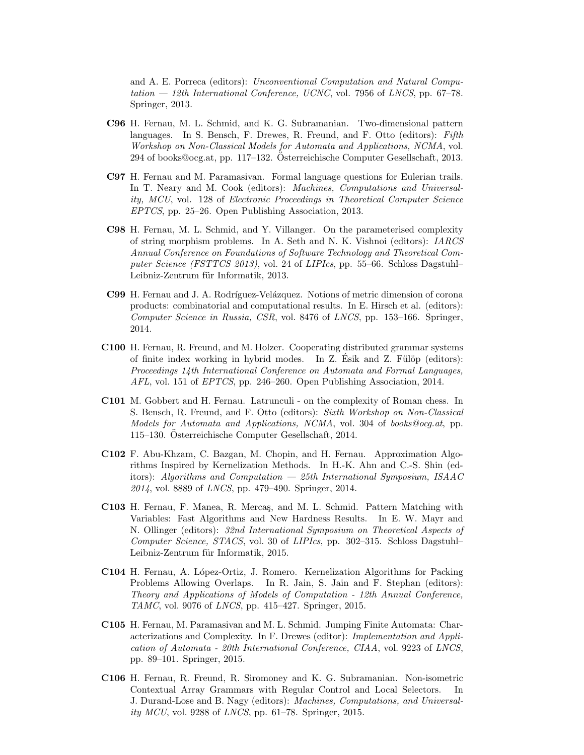and A. E. Porreca (editors): Unconventional Computation and Natural Computation  $-$  12th International Conference, UCNC, vol. 7956 of LNCS, pp. 67–78. Springer, 2013.

- C96 H. Fernau, M. L. Schmid, and K. G. Subramanian. Two-dimensional pattern languages. In S. Bensch, F. Drewes, R. Freund, and F. Otto (editors): Fifth Workshop on Non-Classical Models for Automata and Applications, NCMA, vol. 294 of books@ocg.at, pp. 117–132. Osterreichische Computer Gesellschaft, 2013. ¨
- C97 H. Fernau and M. Paramasivan. Formal language questions for Eulerian trails. In T. Neary and M. Cook (editors): *Machines, Computations and Universal*ity, MCU, vol. 128 of Electronic Proceedings in Theoretical Computer Science EPTCS, pp. 25–26. Open Publishing Association, 2013.
- C98 H. Fernau, M. L. Schmid, and Y. Villanger. On the parameterised complexity of string morphism problems. In A. Seth and N. K. Vishnoi (editors): IARCS Annual Conference on Foundations of Software Technology and Theoretical Computer Science (FSTTCS 2013), vol. 24 of LIPIcs, pp. 55–66. Schloss Dagstuhl– Leibniz-Zentrum für Informatik, 2013.
- C99 H. Fernau and J. A. Rodríguez-Velázquez. Notions of metric dimension of corona products: combinatorial and computational results. In E. Hirsch et al. (editors): Computer Science in Russia, CSR, vol. 8476 of LNCS, pp. 153–166. Springer, 2014.
- C100 H. Fernau, R. Freund, and M. Holzer. Cooperating distributed grammar systems of finite index working in hybrid modes. In  $Z$ . Esik and  $Z$ . Fülöp (editors): Proceedings 14th International Conference on Automata and Formal Languages, AFL, vol. 151 of EPTCS, pp. 246–260. Open Publishing Association, 2014.
- C101 M. Gobbert and H. Fernau. Latrunculi on the complexity of Roman chess. In S. Bensch, R. Freund, and F. Otto (editors): Sixth Workshop on Non-Classical Models for Automata and Applications, NCMA, vol. 304 of books@ocg.at, pp. 115–130. Osterreichische Computer Gesellschaft, 2014. ¨
- C102 F. Abu-Khzam, C. Bazgan, M. Chopin, and H. Fernau. Approximation Algorithms Inspired by Kernelization Methods. In H.-K. Ahn and C.-S. Shin (editors): Algorithms and Computation  $-$  25th International Symposium, ISAAC 2014, vol. 8889 of LNCS, pp. 479–490. Springer, 2014.
- C103 H. Fernau, F. Manea, R. Merca¸s, and M. L. Schmid. Pattern Matching with Variables: Fast Algorithms and New Hardness Results. In E. W. Mayr and N. Ollinger (editors): 32nd International Symposium on Theoretical Aspects of Computer Science, STACS, vol. 30 of LIPIcs, pp. 302–315. Schloss Dagstuhl– Leibniz-Zentrum für Informatik, 2015.
- C104 H. Fernau, A. L´opez-Ortiz, J. Romero. Kernelization Algorithms for Packing Problems Allowing Overlaps. In R. Jain, S. Jain and F. Stephan (editors): Theory and Applications of Models of Computation - 12th Annual Conference, TAMC, vol. 9076 of LNCS, pp. 415–427. Springer, 2015.
- C105 H. Fernau, M. Paramasivan and M. L. Schmid. Jumping Finite Automata: Characterizations and Complexity. In F. Drewes (editor): Implementation and Application of Automata - 20th International Conference, CIAA, vol. 9223 of LNCS, pp. 89–101. Springer, 2015.
- C106 H. Fernau, R. Freund, R. Siromoney and K. G. Subramanian. Non-isometric Contextual Array Grammars with Regular Control and Local Selectors. In J. Durand-Lose and B. Nagy (editors): Machines, Computations, and Universality MCU, vol. 9288 of LNCS, pp. 61–78. Springer, 2015.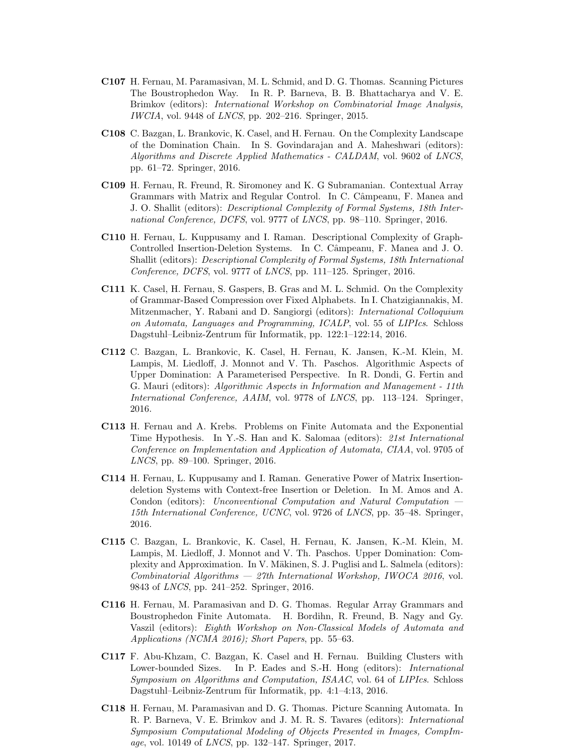- C107 H. Fernau, M. Paramasivan, M. L. Schmid, and D. G. Thomas. Scanning Pictures The Boustrophedon Way. In R. P. Barneva, B. B. Bhattacharya and V. E. Brimkov (editors): International Workshop on Combinatorial Image Analysis, IWCIA, vol. 9448 of LNCS, pp. 202–216. Springer, 2015.
- C108 C. Bazgan, L. Brankovic, K. Casel, and H. Fernau. On the Complexity Landscape of the Domination Chain. In S. Govindarajan and A. Maheshwari (editors): Algorithms and Discrete Applied Mathematics - CALDAM, vol. 9602 of LNCS, pp. 61–72. Springer, 2016.
- C109 H. Fernau, R. Freund, R. Siromoney and K. G Subramanian. Contextual Array Grammars with Matrix and Regular Control. In C. Câmpeanu, F. Manea and J. O. Shallit (editors): Descriptional Complexity of Formal Systems, 18th International Conference, DCFS, vol. 9777 of LNCS, pp. 98–110. Springer, 2016.
- C110 H. Fernau, L. Kuppusamy and I. Raman. Descriptional Complexity of Graph-Controlled Insertion-Deletion Systems. In C. Câmpeanu, F. Manea and J. O. Shallit (editors): Descriptional Complexity of Formal Systems, 18th International Conference, DCFS, vol. 9777 of LNCS, pp. 111–125. Springer, 2016.
- C111 K. Casel, H. Fernau, S. Gaspers, B. Gras and M. L. Schmid. On the Complexity of Grammar-Based Compression over Fixed Alphabets. In I. Chatzigiannakis, M. Mitzenmacher, Y. Rabani and D. Sangiorgi (editors): International Colloquium on Automata, Languages and Programming, ICALP, vol. 55 of LIPIcs. Schloss Dagstuhl–Leibniz-Zentrum für Informatik, pp. 122:1–122:14, 2016.
- C112 C. Bazgan, L. Brankovic, K. Casel, H. Fernau, K. Jansen, K.-M. Klein, M. Lampis, M. Liedloff, J. Monnot and V. Th. Paschos. Algorithmic Aspects of Upper Domination: A Parameterised Perspective. In R. Dondi, G. Fertin and G. Mauri (editors): Algorithmic Aspects in Information and Management - 11th International Conference, AAIM, vol. 9778 of LNCS, pp. 113–124. Springer, 2016.
- C113 H. Fernau and A. Krebs. Problems on Finite Automata and the Exponential Time Hypothesis. In Y.-S. Han and K. Salomaa (editors): 21st International Conference on Implementation and Application of Automata, CIAA, vol. 9705 of LNCS, pp. 89–100. Springer, 2016.
- C114 H. Fernau, L. Kuppusamy and I. Raman. Generative Power of Matrix Insertiondeletion Systems with Context-free Insertion or Deletion. In M. Amos and A. Condon (editors): Unconventional Computation and Natural Computation — 15th International Conference, UCNC, vol. 9726 of LNCS, pp. 35–48. Springer, 2016.
- C115 C. Bazgan, L. Brankovic, K. Casel, H. Fernau, K. Jansen, K.-M. Klein, M. Lampis, M. Liedloff, J. Monnot and V. Th. Paschos. Upper Domination: Complexity and Approximation. In V. Mäkinen, S. J. Puglisi and L. Salmela (editors): Combinatorial Algorithms — 27th International Workshop, IWOCA 2016, vol. 9843 of LNCS, pp. 241–252. Springer, 2016.
- C116 H. Fernau, M. Paramasivan and D. G. Thomas. Regular Array Grammars and Boustrophedon Finite Automata. H. Bordihn, R. Freund, B. Nagy and Gy. Vaszil (editors): Eighth Workshop on Non-Classical Models of Automata and Applications (NCMA 2016); Short Papers, pp. 55–63.
- C117 F. Abu-Khzam, C. Bazgan, K. Casel and H. Fernau. Building Clusters with Lower-bounded Sizes. In P. Eades and S.-H. Hong (editors): *International* Symposium on Algorithms and Computation, ISAAC, vol. 64 of LIPIcs. Schloss Dagstuhl–Leibniz-Zentrum für Informatik, pp. 4:1–4:13, 2016.
- C118 H. Fernau, M. Paramasivan and D. G. Thomas. Picture Scanning Automata. In R. P. Barneva, V. E. Brimkov and J. M. R. S. Tavares (editors): International Symposium Computational Modeling of Objects Presented in Images, CompImage, vol. 10149 of LNCS, pp. 132–147. Springer, 2017.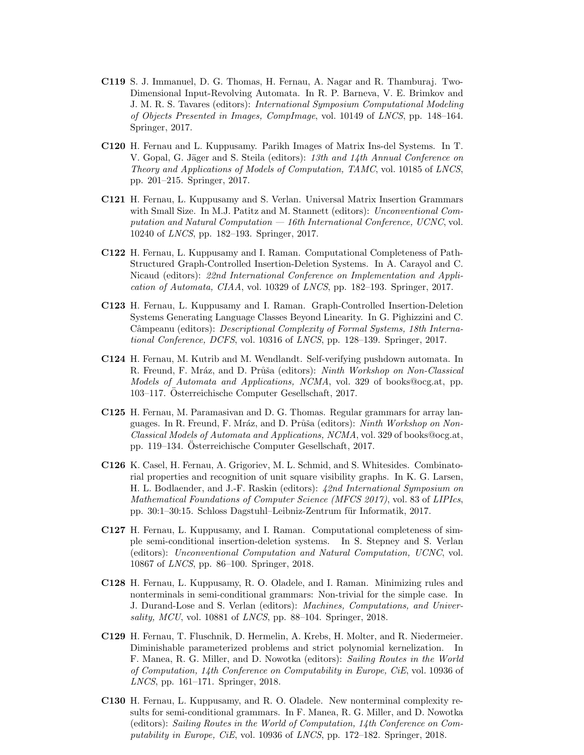- C119 S. J. Immanuel, D. G. Thomas, H. Fernau, A. Nagar and R. Thamburaj. Two-Dimensional Input-Revolving Automata. In R. P. Barneva, V. E. Brimkov and J. M. R. S. Tavares (editors): International Symposium Computational Modeling of Objects Presented in Images, CompImage, vol. 10149 of LNCS, pp. 148–164. Springer, 2017.
- C120 H. Fernau and L. Kuppusamy. Parikh Images of Matrix Ins-del Systems. In T. V. Gopal, G. Jäger and S. Steila (editors): 13th and 14th Annual Conference on Theory and Applications of Models of Computation, TAMC, vol. 10185 of LNCS, pp. 201–215. Springer, 2017.
- C121 H. Fernau, L. Kuppusamy and S. Verlan. Universal Matrix Insertion Grammars with Small Size. In M.J. Patitz and M. Stannett (editors): *Unconventional Com*putation and Natural Computation  $-16$ th International Conference, UCNC, vol. 10240 of LNCS, pp. 182–193. Springer, 2017.
- C122 H. Fernau, L. Kuppusamy and I. Raman. Computational Completeness of Path-Structured Graph-Controlled Insertion-Deletion Systems. In A. Carayol and C. Nicaud (editors): 22nd International Conference on Implementation and Application of Automata, CIAA, vol. 10329 of LNCS, pp. 182–193. Springer, 2017.
- C123 H. Fernau, L. Kuppusamy and I. Raman. Graph-Controlled Insertion-Deletion Systems Generating Language Classes Beyond Linearity. In G. Pighizzini and C. Câmpeanu (editors): Descriptional Complexity of Formal Systems, 18th International Conference, DCFS, vol. 10316 of LNCS, pp. 128–139. Springer, 2017.
- C124 H. Fernau, M. Kutrib and M. Wendlandt. Self-verifying pushdown automata. In R. Freund, F. Mráz, and D. Průša (editors): Ninth Workshop on Non-Classical Models of Automata and Applications, NCMA, vol. 329 of books@ocg.at, pp. 103–117. Osterreichische Computer Gesellschaft, 2017. ¨
- C125 H. Fernau, M. Paramasivan and D. G. Thomas. Regular grammars for array languages. In R. Freund, F. Mráz, and D. Průša (editors): Ninth Workshop on Non-Classical Models of Automata and Applications, NCMA, vol. 329 of books@ocg.at, pp. 119–134. Osterreichische Computer Gesellschaft, 2017.
- C126 K. Casel, H. Fernau, A. Grigoriev, M. L. Schmid, and S. Whitesides. Combinatorial properties and recognition of unit square visibility graphs. In K. G. Larsen, H. L. Bodlaender, and J.-F. Raskin (editors): 42nd International Symposium on Mathematical Foundations of Computer Science (MFCS 2017), vol. 83 of LIPIcs, pp. 30:1–30:15. Schloss Dagstuhl–Leibniz-Zentrum für Informatik, 2017.
- C127 H. Fernau, L. Kuppusamy, and I. Raman. Computational completeness of simple semi-conditional insertion-deletion systems. In S. Stepney and S. Verlan (editors): Unconventional Computation and Natural Computation, UCNC, vol. 10867 of LNCS, pp. 86–100. Springer, 2018.
- C128 H. Fernau, L. Kuppusamy, R. O. Oladele, and I. Raman. Minimizing rules and nonterminals in semi-conditional grammars: Non-trivial for the simple case. In J. Durand-Lose and S. Verlan (editors): Machines, Computations, and Universality, MCU, vol. 10881 of LNCS, pp. 88–104. Springer, 2018.
- C129 H. Fernau, T. Fluschnik, D. Hermelin, A. Krebs, H. Molter, and R. Niedermeier. Diminishable parameterized problems and strict polynomial kernelization. In F. Manea, R. G. Miller, and D. Nowotka (editors): Sailing Routes in the World of Computation, 14th Conference on Computability in Europe, CiE, vol. 10936 of LNCS, pp. 161–171. Springer, 2018.
- C130 H. Fernau, L. Kuppusamy, and R. O. Oladele. New nonterminal complexity results for semi-conditional grammars. In F. Manea, R. G. Miller, and D. Nowotka (editors): Sailing Routes in the World of Computation, 14th Conference on Computability in Europe, CiE, vol. 10936 of LNCS, pp. 172–182. Springer, 2018.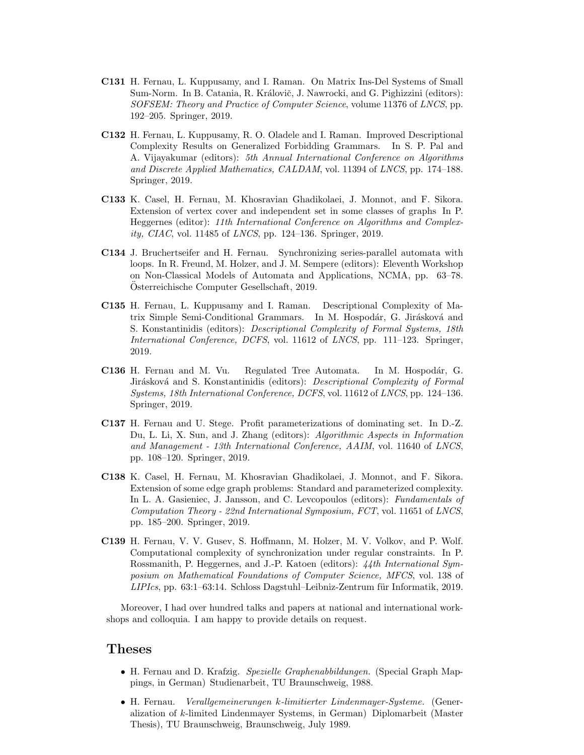- C131 H. Fernau, L. Kuppusamy, and I. Raman. On Matrix Ins-Del Systems of Small Sum-Norm. In B. Catania, R. Královič, J. Nawrocki, and G. Pighizzini (editors): SOFSEM: Theory and Practice of Computer Science, volume 11376 of LNCS, pp. 192–205. Springer, 2019.
- C132 H. Fernau, L. Kuppusamy, R. O. Oladele and I. Raman. Improved Descriptional Complexity Results on Generalized Forbidding Grammars. In S. P. Pal and A. Vijayakumar (editors): 5th Annual International Conference on Algorithms and Discrete Applied Mathematics, CALDAM, vol. 11394 of LNCS, pp. 174–188. Springer, 2019.
- C133 K. Casel, H. Fernau, M. Khosravian Ghadikolaei, J. Monnot, and F. Sikora. Extension of vertex cover and independent set in some classes of graphs In P. Heggernes (editor): 11th International Conference on Algorithms and Complexity, CIAC, vol. 11485 of LNCS, pp. 124–136. Springer, 2019.
- C134 J. Bruchertseifer and H. Fernau. Synchronizing series-parallel automata with loops. In R. Freund, M. Holzer, and J. M. Sempere (editors): Eleventh Workshop on Non-Classical Models of Automata and Applications, NCMA, pp. 63–78. Osterreichische Computer Gesellschaft, 2019. ¨
- C135 H. Fernau, L. Kuppusamy and I. Raman. Descriptional Complexity of Matrix Simple Semi-Conditional Grammars. In M. Hospodár, G. Jirásková and S. Konstantinidis (editors): Descriptional Complexity of Formal Systems, 18th International Conference, DCFS, vol. 11612 of LNCS, pp. 111–123. Springer, 2019.
- C136 H. Fernau and M. Vu. Regulated Tree Automata. In M. Hospodár, G. Jirásková and S. Konstantinidis (editors): Descriptional Complexity of Formal Systems, 18th International Conference, DCFS, vol. 11612 of LNCS, pp. 124–136. Springer, 2019.
- C137 H. Fernau and U. Stege. Profit parameterizations of dominating set. In D.-Z. Du, L. Li, X. Sun, and J. Zhang (editors): Algorithmic Aspects in Information and Management - 13th International Conference, AAIM, vol. 11640 of LNCS, pp. 108–120. Springer, 2019.
- C138 K. Casel, H. Fernau, M. Khosravian Ghadikolaei, J. Monnot, and F. Sikora. Extension of some edge graph problems: Standard and parameterized complexity. In L. A. Gasieniec, J. Jansson, and C. Levcopoulos (editors): Fundamentals of Computation Theory - 22nd International Symposium, FCT, vol. 11651 of LNCS, pp. 185–200. Springer, 2019.
- C139 H. Fernau, V. V. Gusev, S. Hoffmann, M. Holzer, M. V. Volkov, and P. Wolf. Computational complexity of synchronization under regular constraints. In P. Rossmanith, P. Heggernes, and J.-P. Katoen (editors): 44th International Symposium on Mathematical Foundations of Computer Science, MFCS, vol. 138 of  $LIPIcs$ , pp. 63:1–63:14. Schloss Dagstuhl–Leibniz-Zentrum für Informatik, 2019.

Moreover, I had over hundred talks and papers at national and international workshops and colloquia. I am happy to provide details on request.

### Theses

- H. Fernau and D. Krafzig. Spezielle Graphenabbildungen. (Special Graph Mappings, in German) Studienarbeit, TU Braunschweig, 1988.
- H. Fernau. Verallgemeinerungen k-limitierter Lindenmayer-Systeme. (Generalization of k-limited Lindenmayer Systems, in German) Diplomarbeit (Master Thesis), TU Braunschweig, Braunschweig, July 1989.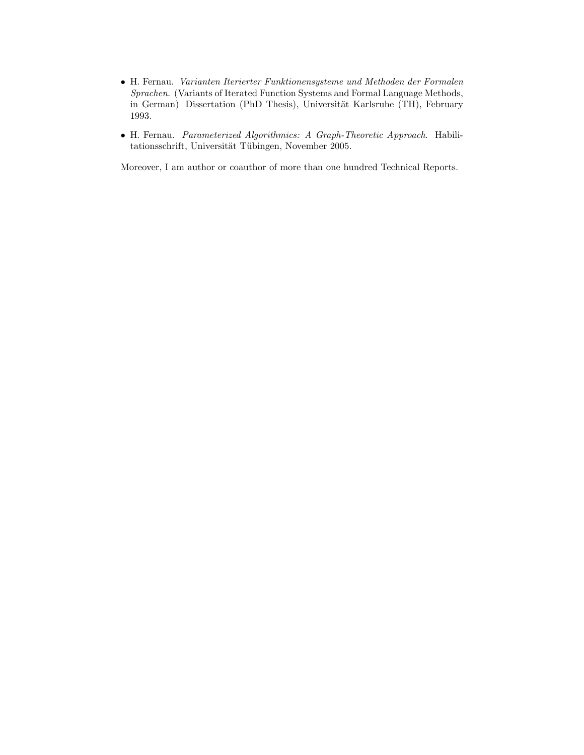- H. Fernau. Varianten Iterierter Funktionensysteme und Methoden der Formalen Sprachen. (Variants of Iterated Function Systems and Formal Language Methods, in German) Dissertation (PhD Thesis), Universität Karlsruhe (TH), February 1993.
- H. Fernau. Parameterized Algorithmics: A Graph-Theoretic Approach. Habilitationsschrift, Universität Tübingen, November 2005.

Moreover, I am author or coauthor of more than one hundred Technical Reports.